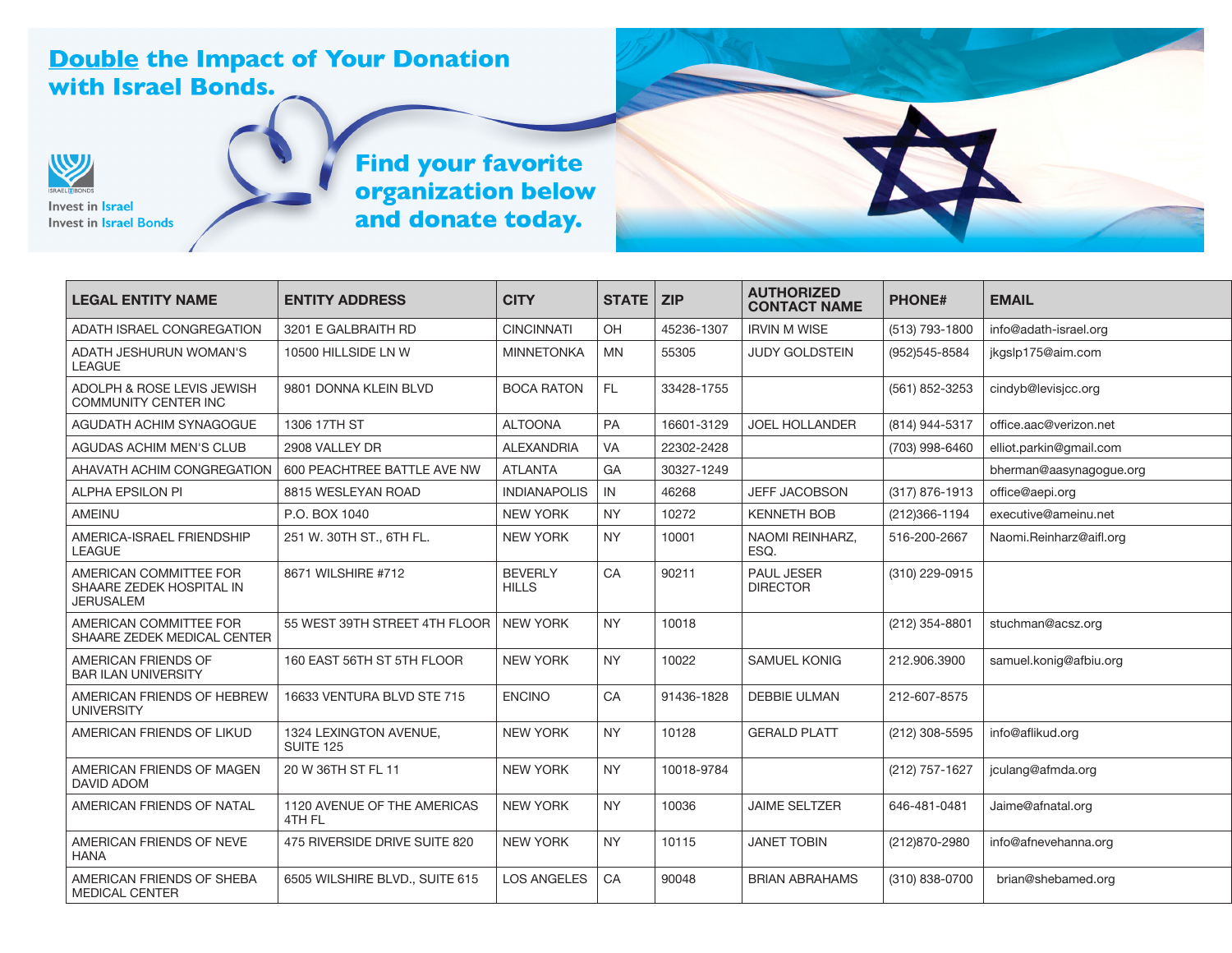## **Double the Impact of Your Donation** with Israel Bonds.



## Invest in **Israel Invest in Israel Bonds**

## Find your favorite<br>organization below<br>and donate today.

| <b>LEGAL ENTITY NAME</b>                                               | <b>ENTITY ADDRESS</b>                      | <b>CITY</b>                    | <b>STATE</b> | <b>ZIP</b> | <b>AUTHORIZED</b><br><b>CONTACT NAME</b> | <b>PHONE#</b>  | <b>EMAIL</b>            |
|------------------------------------------------------------------------|--------------------------------------------|--------------------------------|--------------|------------|------------------------------------------|----------------|-------------------------|
| ADATH ISRAEL CONGREGATION                                              | 3201 E GALBRAITH RD                        | <b>CINCINNATI</b>              | OH           | 45236-1307 | <b>IRVIN M WISE</b>                      | (513) 793-1800 | info@adath-israel.org   |
| ADATH JESHURUN WOMAN'S<br><b>LEAGUE</b>                                | 10500 HILLSIDE LN W                        | <b>MINNETONKA</b>              | <b>MN</b>    | 55305      | <b>JUDY GOLDSTEIN</b>                    | (952)545-8584  | jkgslp175@aim.com       |
| ADOLPH & ROSE LEVIS JEWISH<br><b>COMMUNITY CENTER INC</b>              | 9801 DONNA KLEIN BLVD                      | <b>BOCA RATON</b>              | FL.          | 33428-1755 |                                          | (561) 852-3253 | cindyb@levisicc.org     |
| AGUDATH ACHIM SYNAGOGUE                                                | 1306 17TH ST                               | <b>ALTOONA</b>                 | PA           | 16601-3129 | <b>JOEL HOLLANDER</b>                    | (814) 944-5317 | office.aac@verizon.net  |
| <b>AGUDAS ACHIM MEN'S CLUB</b>                                         | 2908 VALLEY DR                             | <b>ALEXANDRIA</b>              | VA           | 22302-2428 |                                          | (703) 998-6460 | elliot.parkin@qmail.com |
| AHAVATH ACHIM CONGREGATION                                             | 600 PEACHTREE BATTLE AVE NW                | <b>ATLANTA</b>                 | GA           | 30327-1249 |                                          |                | bherman@aasynaqoque.org |
| <b>ALPHA EPSILON PI</b>                                                | 8815 WESLEYAN ROAD                         | <b>INDIANAPOLIS</b>            | IN           | 46268      | <b>JEFF JACOBSON</b>                     | (317) 876-1913 | office@aepi.org         |
| <b>AMEINU</b>                                                          | P.O. BOX 1040                              | <b>NEW YORK</b>                | <b>NY</b>    | 10272      | <b>KENNETH BOB</b>                       | (212)366-1194  | executive@ameinu.net    |
| AMERICA-ISRAEL FRIENDSHIP<br><b>LEAGUE</b>                             | 251 W. 30TH ST., 6TH FL.                   | <b>NEW YORK</b>                | <b>NY</b>    | 10001      | NAOMI REINHARZ,<br>ESO.                  | 516-200-2667   | Naomi.Reinharz@aifl.org |
| AMERICAN COMMITTEE FOR<br>SHAARE ZEDEK HOSPITAL IN<br><b>JERUSALEM</b> | 8671 WILSHIRE #712                         | <b>BEVERLY</b><br><b>HILLS</b> | CA           | 90211      | <b>PAUL JESER</b><br><b>DIRECTOR</b>     | (310) 229-0915 |                         |
| AMERICAN COMMITTEE FOR<br>SHAARE ZEDEK MEDICAL CENTER                  | 55 WEST 39TH STREET 4TH FLOOR              | <b>NEW YORK</b>                | <b>NY</b>    | 10018      |                                          | (212) 354-8801 | stuchman@acsz.org       |
| AMERICAN FRIENDS OF<br><b>BAR ILAN UNIVERSITY</b>                      | 160 EAST 56TH ST 5TH FLOOR                 | <b>NEW YORK</b>                | <b>NY</b>    | 10022      | <b>SAMUEL KONIG</b>                      | 212.906.3900   | samuel.konig@afbiu.org  |
| AMERICAN FRIENDS OF HEBREW<br><b>UNIVERSITY</b>                        | 16633 VENTURA BLVD STE 715                 | <b>ENCINO</b>                  | CA           | 91436-1828 | <b>DEBBIE ULMAN</b>                      | 212-607-8575   |                         |
| AMERICAN FRIENDS OF LIKUD                                              | 1324 LEXINGTON AVENUE,<br><b>SUITE 125</b> | <b>NEW YORK</b>                | <b>NY</b>    | 10128      | <b>GERALD PLATT</b>                      | (212) 308-5595 | info@aflikud.org        |
| AMERICAN FRIENDS OF MAGEN<br><b>DAVID ADOM</b>                         | 20 W 36TH ST FL 11                         | <b>NEW YORK</b>                | <b>NY</b>    | 10018-9784 |                                          | (212) 757-1627 | jculang@afmda.org       |
| AMERICAN FRIENDS OF NATAL                                              | 1120 AVENUE OF THE AMERICAS<br>4TH FL      | <b>NEW YORK</b>                | <b>NY</b>    | 10036      | <b>JAIME SELTZER</b>                     | 646-481-0481   | Jaime@afnatal.org       |
| AMERICAN FRIENDS OF NEVE<br><b>HANA</b>                                | 475 RIVERSIDE DRIVE SUITE 820              | <b>NEW YORK</b>                | <b>NY</b>    | 10115      | <b>JANET TOBIN</b>                       | (212)870-2980  | info@afnevehanna.org    |
| AMERICAN FRIENDS OF SHEBA<br><b>MEDICAL CENTER</b>                     | 6505 WILSHIRE BLVD., SUITE 615             | <b>LOS ANGELES</b>             | CA           | 90048      | <b>BRIAN ABRAHAMS</b>                    | (310) 838-0700 | brian@shebamed.org      |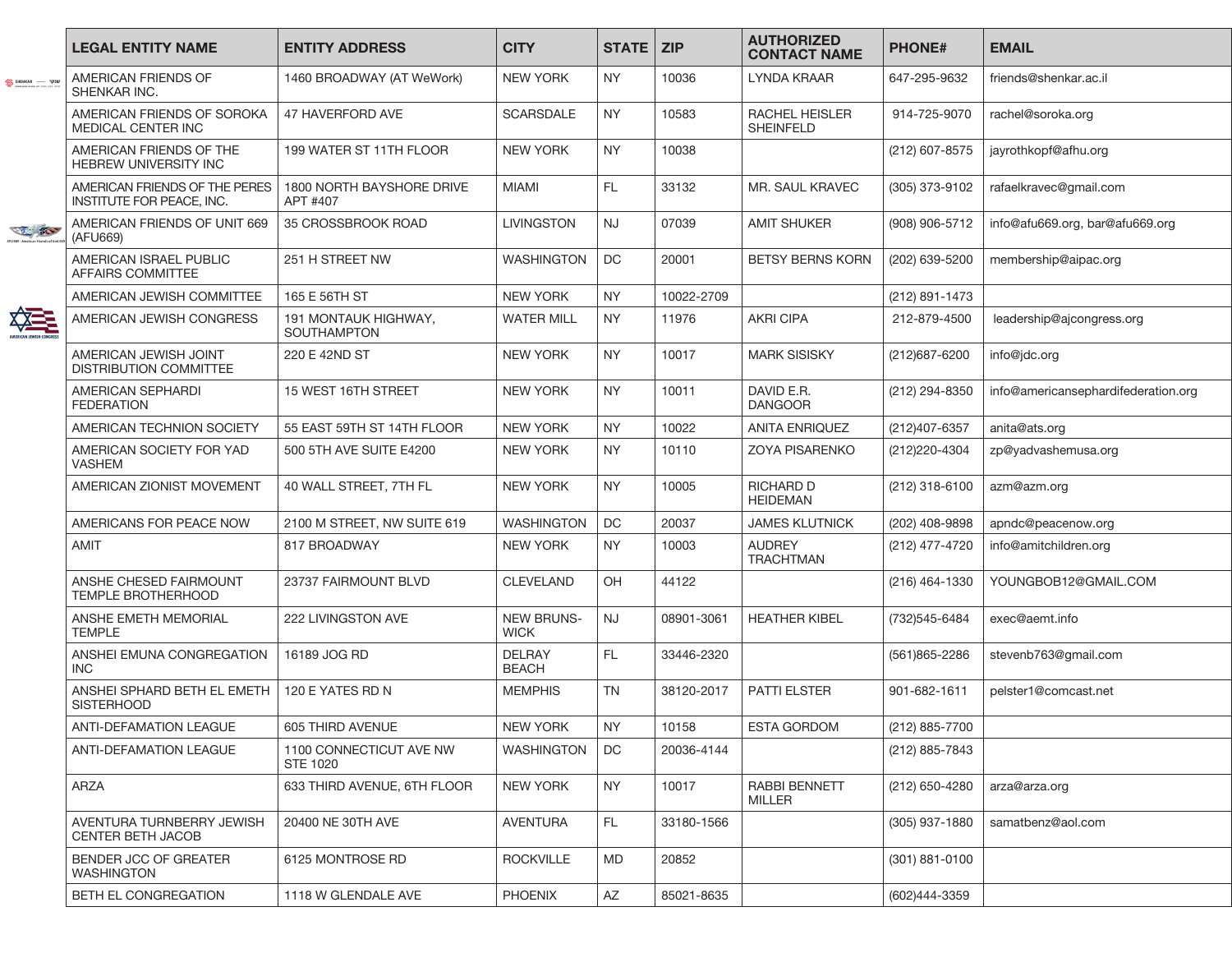|                      | <b>LEGAL ENTITY NAME</b>                                   | <b>ENTITY ADDRESS</b>                      | <b>CITY</b>                      | STATE   ZIP |            | <b>AUTHORIZED</b><br><b>CONTACT NAME</b> | <b>PHONE#</b>    | <b>EMAIL</b>                        |
|----------------------|------------------------------------------------------------|--------------------------------------------|----------------------------------|-------------|------------|------------------------------------------|------------------|-------------------------------------|
|                      | AMERICAN FRIENDS OF<br>SHENKAR INC.                        | 1460 BROADWAY (AT WeWork)                  | <b>NEW YORK</b>                  | <b>NY</b>   | 10036      | <b>LYNDA KRAAR</b>                       | 647-295-9632     | friends@shenkar.ac.il               |
|                      | AMERICAN FRIENDS OF SOROKA<br><b>MEDICAL CENTER INC</b>    | 47 HAVERFORD AVE                           | <b>SCARSDALE</b>                 | <b>NY</b>   | 10583      | RACHEL HEISLER<br><b>SHEINFELD</b>       | 914-725-9070     | rachel@soroka.org                   |
|                      | AMERICAN FRIENDS OF THE<br><b>HEBREW UNIVERSITY INC</b>    | 199 WATER ST 11TH FLOOR                    | <b>NEW YORK</b>                  | <b>NY</b>   | 10038      |                                          | (212) 607-8575   | jayrothkopf@afhu.org                |
|                      | AMERICAN FRIENDS OF THE PERES<br>INSTITUTE FOR PEACE, INC. | 1800 NORTH BAYSHORE DRIVE<br>APT #407      | <b>MIAMI</b>                     | FL.         | 33132      | MR. SAUL KRAVEC                          | (305) 373-9102   | rafaelkravec@gmail.com              |
| <b>COLLEGE SERVE</b> | AMERICAN FRIENDS OF UNIT 669<br>(AFU669)                   | 35 CROSSBROOK ROAD                         | <b>LIVINGSTON</b>                | <b>NJ</b>   | 07039      | <b>AMIT SHUKER</b>                       | (908) 906-5712   | info@afu669.org, bar@afu669.org     |
|                      | AMERICAN ISRAEL PUBLIC<br>AFFAIRS COMMITTEE                | 251 H STREET NW                            | <b>WASHINGTON</b>                | DC          | 20001      | <b>BETSY BERNS KORN</b>                  | (202) 639-5200   | membership@aipac.org                |
|                      | AMERICAN JEWISH COMMITTEE                                  | 165 E 56TH ST                              | NEW YORK                         | <b>NY</b>   | 10022-2709 |                                          | (212) 891-1473   |                                     |
| ▓                    | AMERICAN JEWISH CONGRESS                                   | 191 MONTAUK HIGHWAY,<br><b>SOUTHAMPTON</b> | <b>WATER MILL</b>                | <b>NY</b>   | 11976      | <b>AKRI CIPA</b>                         | 212-879-4500     | leadership@ajcongress.org           |
|                      | AMERICAN JEWISH JOINT<br><b>DISTRIBUTION COMMITTEE</b>     | 220 E 42ND ST                              | <b>NEW YORK</b>                  | <b>NY</b>   | 10017      | <b>MARK SISISKY</b>                      | (212)687-6200    | info@jdc.org                        |
|                      | AMERICAN SEPHARDI<br><b>FEDERATION</b>                     | 15 WEST 16TH STREET                        | <b>NEW YORK</b>                  | <b>NY</b>   | 10011      | DAVID E.R.<br><b>DANGOOR</b>             | (212) 294-8350   | info@americansephardifederation.org |
|                      | AMERICAN TECHNION SOCIETY                                  | 55 EAST 59TH ST 14TH FLOOR                 | <b>NEW YORK</b>                  | <b>NY</b>   | 10022      | <b>ANITA ENRIQUEZ</b>                    | (212)407-6357    | anita@ats.org                       |
|                      | AMERICAN SOCIETY FOR YAD<br><b>VASHEM</b>                  | 500 5TH AVE SUITE E4200                    | <b>NEW YORK</b>                  | <b>NY</b>   | 10110      | <b>ZOYA PISARENKO</b>                    | (212) 220 - 4304 | zp@yadvashemusa.org                 |
|                      | AMERICAN ZIONIST MOVEMENT                                  | 40 WALL STREET, 7TH FL                     | <b>NEW YORK</b>                  | <b>NY</b>   | 10005      | RICHARD D<br><b>HEIDEMAN</b>             | (212) 318-6100   | azm@azm.org                         |
|                      | AMERICANS FOR PEACE NOW                                    | 2100 M STREET, NW SUITE 619                | <b>WASHINGTON</b>                | DC          | 20037      | <b>JAMES KLUTNICK</b>                    | (202) 408-9898   | apndc@peacenow.org                  |
|                      | <b>AMIT</b>                                                | 817 BROADWAY                               | <b>NEW YORK</b>                  | <b>NY</b>   | 10003      | <b>AUDREY</b><br><b>TRACHTMAN</b>        | (212) 477-4720   | info@amitchildren.org               |
|                      | ANSHE CHESED FAIRMOUNT<br>TEMPLE BROTHERHOOD               | 23737 FAIRMOUNT BLVD                       | <b>CLEVELAND</b>                 | OH          | 44122      |                                          | (216) 464-1330   | YOUNGBOB12@GMAIL.COM                |
|                      | ANSHE EMETH MEMORIAL<br><b>TEMPLE</b>                      | 222 LIVINGSTON AVE                         | <b>NEW BRUNS-</b><br><b>WICK</b> | <b>NJ</b>   | 08901-3061 | <b>HEATHER KIBEL</b>                     | (732)545-6484    | exec@aemt.info                      |
|                      | ANSHEI EMUNA CONGREGATION<br><b>INC</b>                    | 16189 JOG RD                               | <b>DELRAY</b><br><b>BEACH</b>    | FL.         | 33446-2320 |                                          | (561)865-2286    | stevenb763@gmail.com                |
|                      | ANSHEI SPHARD BETH EL EMETH<br><b>SISTERHOOD</b>           | 120 E YATES RD N                           | <b>MEMPHIS</b>                   | TN          | 38120-2017 | PATTI ELSTER                             | 901-682-1611     | pelster1@comcast.net                |
|                      | <b>ANTI-DEFAMATION LEAGUE</b>                              | 605 THIRD AVENUE                           | NEW YORK                         | <b>NY</b>   | 10158      | ESTA GORDOM                              | (212) 885-7700   |                                     |
|                      | ANTI-DEFAMATION LEAGUE                                     | 1100 CONNECTICUT AVE NW<br><b>STE 1020</b> | WASHINGTON                       | DC          | 20036-4144 |                                          | (212) 885-7843   |                                     |
|                      | <b>ARZA</b>                                                | 633 THIRD AVENUE, 6TH FLOOR                | NEW YORK                         | <b>NY</b>   | 10017      | <b>RABBI BENNETT</b><br><b>MILLER</b>    | (212) 650-4280   | arza@arza.org                       |
|                      | AVENTURA TURNBERRY JEWISH<br><b>CENTER BETH JACOB</b>      | 20400 NE 30TH AVE                          | AVENTURA                         | FL.         | 33180-1566 |                                          | (305) 937-1880   | samatbenz@aol.com                   |
|                      | BENDER JCC OF GREATER<br><b>WASHINGTON</b>                 | 6125 MONTROSE RD                           | <b>ROCKVILLE</b>                 | <b>MD</b>   | 20852      |                                          | (301) 881-0100   |                                     |
|                      | BETH EL CONGREGATION                                       | 1118 W GLENDALE AVE                        | <b>PHOENIX</b>                   | AZ          | 85021-8635 |                                          | (602)444-3359    |                                     |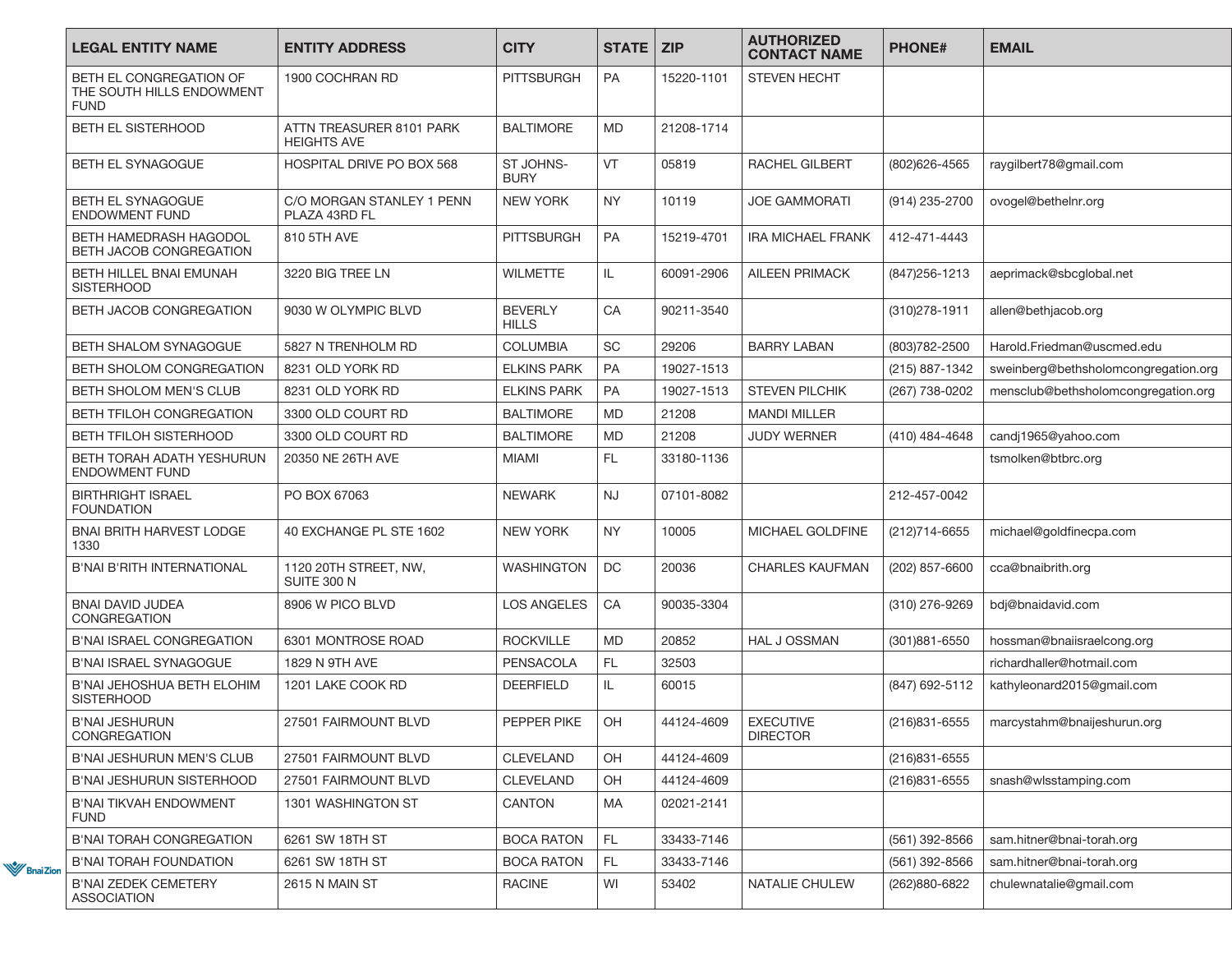| <b>LEGAL ENTITY NAME</b>                                            | <b>ENTITY ADDRESS</b>                          | <b>CITY</b>                    | <b>STATE   ZIP</b> |            | <b>AUTHORIZED</b><br><b>CONTACT NAME</b> | <b>PHONE#</b>     | <b>EMAIL</b>                         |
|---------------------------------------------------------------------|------------------------------------------------|--------------------------------|--------------------|------------|------------------------------------------|-------------------|--------------------------------------|
| BETH EL CONGREGATION OF<br>THE SOUTH HILLS ENDOWMENT<br><b>FUND</b> | 1900 COCHRAN RD                                | <b>PITTSBURGH</b>              | PA                 | 15220-1101 | <b>STEVEN HECHT</b>                      |                   |                                      |
| BETH EL SISTERHOOD                                                  | ATTN TREASURER 8101 PARK<br><b>HEIGHTS AVE</b> | <b>BALTIMORE</b>               | <b>MD</b>          | 21208-1714 |                                          |                   |                                      |
| BETH EL SYNAGOGUE                                                   | HOSPITAL DRIVE PO BOX 568                      | ST JOHNS-<br><b>BURY</b>       | <b>VT</b>          | 05819      | RACHEL GILBERT                           | (802)626-4565     | raygilbert78@gmail.com               |
| BETH EL SYNAGOGUE<br><b>ENDOWMENT FUND</b>                          | C/O MORGAN STANLEY 1 PENN<br>PLAZA 43RD FL     | <b>NEW YORK</b>                | NY.                | 10119      | JOE GAMMORATI                            | (914) 235-2700    | ovogel@bethelnr.org                  |
| BETH HAMEDRASH HAGODOL<br>BETH JACOB CONGREGATION                   | 810 5TH AVE                                    | <b>PITTSBURGH</b>              | PA                 | 15219-4701 | <b>IRA MICHAEL FRANK</b>                 | 412-471-4443      |                                      |
| BETH HILLEL BNAI EMUNAH<br><b>SISTERHOOD</b>                        | 3220 BIG TREE LN                               | <b>WILMETTE</b>                | IL.                | 60091-2906 | <b>AILEEN PRIMACK</b>                    | (847) 256-1213    | aeprimack@sbcglobal.net              |
| BETH JACOB CONGREGATION                                             | 9030 W OLYMPIC BLVD                            | <b>BEVERLY</b><br><b>HILLS</b> | CA                 | 90211-3540 |                                          | (310) 278-1911    | allen@bethjacob.org                  |
| BETH SHALOM SYNAGOGUE                                               | 5827 N TRENHOLM RD                             | <b>COLUMBIA</b>                | <b>SC</b>          | 29206      | <b>BARRY LABAN</b>                       | (803) 782 - 2500  | Harold.Friedman@uscmed.edu           |
| <b>BETH SHOLOM CONGREGATION</b>                                     | 8231 OLD YORK RD                               | <b>ELKINS PARK</b>             | <b>PA</b>          | 19027-1513 |                                          | (215) 887-1342    | sweinberg@bethsholomcongregation.org |
| BETH SHOLOM MEN'S CLUB                                              | 8231 OLD YORK RD                               | <b>ELKINS PARK</b>             | <b>PA</b>          | 19027-1513 | <b>STEVEN PILCHIK</b>                    | (267) 738-0202    | mensclub@bethsholomcongregation.org  |
| <b>BETH TFILOH CONGREGATION</b>                                     | 3300 OLD COURT RD                              | <b>BALTIMORE</b>               | <b>MD</b>          | 21208      | <b>MANDI MILLER</b>                      |                   |                                      |
| BETH TFILOH SISTERHOOD                                              | 3300 OLD COURT RD                              | <b>BALTIMORE</b>               | <b>MD</b>          | 21208      | <b>JUDY WERNER</b>                       | (410) 484-4648    | candj1965@yahoo.com                  |
| BETH TORAH ADATH YESHURUN<br><b>ENDOWMENT FUND</b>                  | 20350 NE 26TH AVE                              | MIAMI                          | FL.                | 33180-1136 |                                          |                   | tsmolken@btbrc.org                   |
| <b>BIRTHRIGHT ISRAEL</b><br><b>FOUNDATION</b>                       | PO BOX 67063                                   | <b>NEWARK</b>                  | <b>NJ</b>          | 07101-8082 |                                          | 212-457-0042      |                                      |
| <b>BNAI BRITH HARVEST LODGE</b><br>1330                             | 40 EXCHANGE PL STE 1602                        | <b>NEW YORK</b>                | <b>NY</b>          | 10005      | MICHAEL GOLDFINE                         | (212)714-6655     | michael@goldfinecpa.com              |
| <b>B'NAI B'RITH INTERNATIONAL</b>                                   | 1120 20TH STREET, NW,<br><b>SUITE 300 N</b>    | <b>WASHINGTON</b>              | <b>DC</b>          | 20036      | <b>CHARLES KAUFMAN</b>                   | (202) 857-6600    | cca@bnaibrith.org                    |
| <b>BNAI DAVID JUDEA</b><br><b>CONGREGATION</b>                      | 8906 W PICO BLVD                               | <b>LOS ANGELES</b>             | CA                 | 90035-3304 |                                          | (310) 276-9269    | bdj@bnaidavid.com                    |
| <b>B'NAI ISRAEL CONGREGATION</b>                                    | 6301 MONTROSE ROAD                             | <b>ROCKVILLE</b>               | <b>MD</b>          | 20852      | <b>HAL J OSSMAN</b>                      | $(301)881 - 6550$ | hossman@bnaiisraelcong.org           |
| <b>B'NAI ISRAEL SYNAGOGUE</b>                                       | 1829 N 9TH AVE                                 | <b>PENSACOLA</b>               | FL.                | 32503      |                                          |                   | richardhaller@hotmail.com            |
| B'NAI JEHOSHUA BETH ELOHIM<br><b>SISTERHOOD</b>                     | 1201 LAKE COOK RD                              | DEERFIELD                      | IL.                | 60015      |                                          | (847) 692-5112    | kathyleonard2015@gmail.com           |
| <b>B'NAI JESHURUN</b><br>CONGREGATION                               | 27501 FAIRMOUNT BLVD                           | PEPPER PIKE                    | <b>OH</b>          | 44124-4609 | <b>EXECUTIVE</b><br><b>DIRECTOR</b>      | (216)831-6555     | marcystahm@bnaijeshurun.org          |
| B'NAI JESHURUN MEN'S CLUB                                           | 27501 FAIRMOUNT BLVD                           | <b>CLEVELAND</b>               | OH                 | 44124-4609 |                                          | (216) 831-6555    |                                      |
| B'NAI JESHURUN SISTERHOOD                                           | 27501 FAIRMOUNT BLVD                           | CLEVELAND                      | OH                 | 44124-4609 |                                          | (216)831-6555     | snash@wlsstamping.com                |
| B'NAI TIKVAH ENDOWMENT<br><b>FUND</b>                               | 1301 WASHINGTON ST                             | CANTON                         | <b>MA</b>          | 02021-2141 |                                          |                   |                                      |
| <b>B'NAI TORAH CONGREGATION</b>                                     | 6261 SW 18TH ST                                | <b>BOCA RATON</b>              | FL.                | 33433-7146 |                                          | (561) 392-8566    | sam.hitner@bnai-torah.org            |
| <b>B'NAI TORAH FOUNDATION</b>                                       | 6261 SW 18TH ST                                | <b>BOCA RATON</b>              | FL.                | 33433-7146 |                                          | (561) 392-8566    | sam.hitner@bnai-torah.org            |
| B'NAI ZEDEK CEMETERY<br><b>ASSOCIATION</b>                          | 2615 N MAIN ST                                 | <b>RACINE</b>                  | WI                 | 53402      | NATALIE CHULEW                           | (262)880-6822     | chulewnatalie@gmail.com              |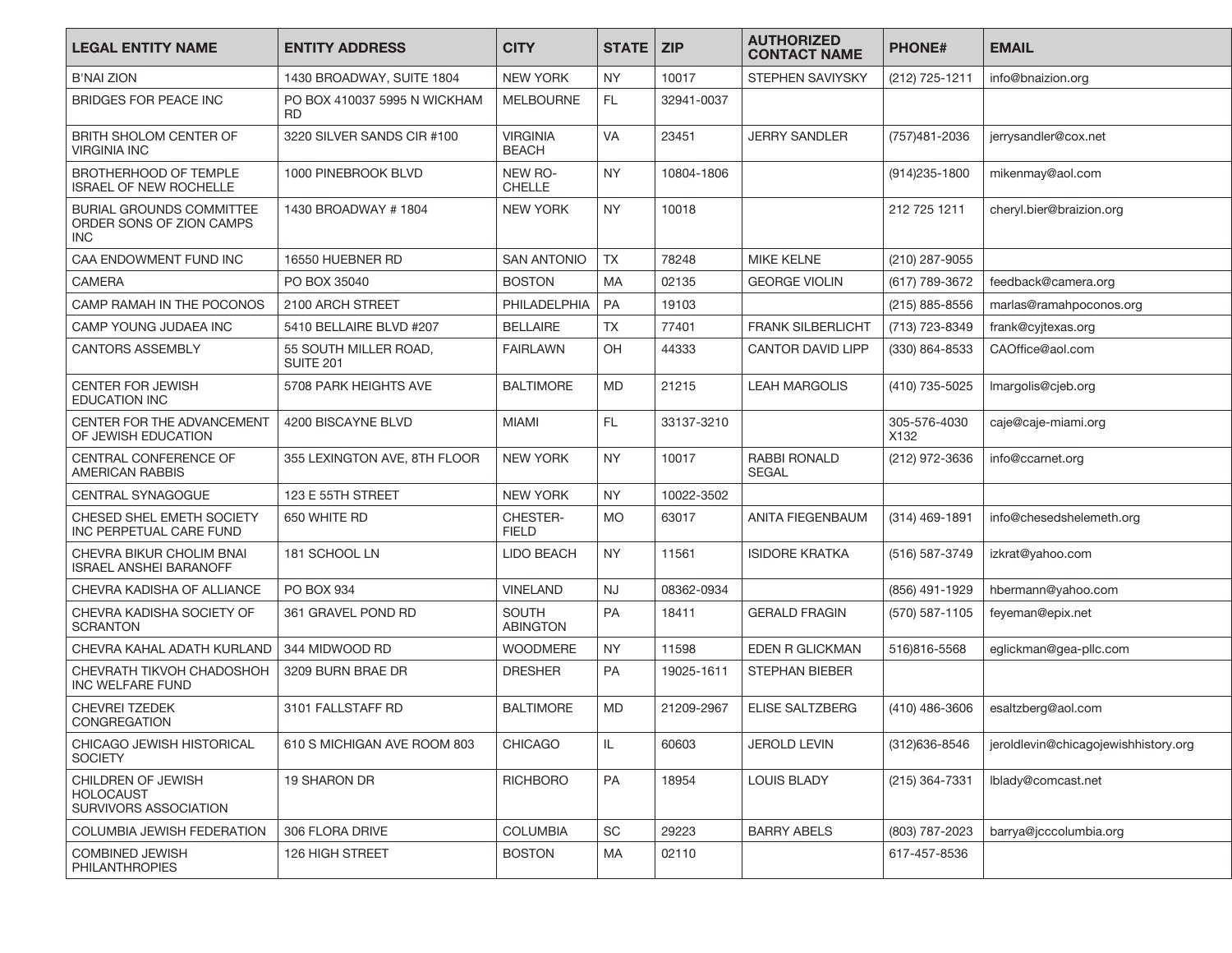| <b>LEGAL ENTITY NAME</b>                                                  | <b>ENTITY ADDRESS</b>                     | <b>CITY</b>                     | <b>STATE</b> | <b>ZIP</b> | <b>AUTHORIZED</b><br><b>CONTACT NAME</b> | <b>PHONE#</b>        | <b>EMAIL</b>                         |
|---------------------------------------------------------------------------|-------------------------------------------|---------------------------------|--------------|------------|------------------------------------------|----------------------|--------------------------------------|
| <b>B'NAI ZION</b>                                                         | 1430 BROADWAY, SUITE 1804                 | <b>NEW YORK</b>                 | <b>NY</b>    | 10017      | STEPHEN SAVIYSKY                         | (212) 725-1211       | info@bnaizion.org                    |
| <b>BRIDGES FOR PEACE INC</b>                                              | PO BOX 410037 5995 N WICKHAM<br><b>RD</b> | <b>MELBOURNE</b>                | FL.          | 32941-0037 |                                          |                      |                                      |
| BRITH SHOLOM CENTER OF<br><b>VIRGINIA INC</b>                             | 3220 SILVER SANDS CIR #100                | <b>VIRGINIA</b><br><b>BEACH</b> | <b>VA</b>    | 23451      | <b>JERRY SANDLER</b>                     | (757)481-2036        | jerrysandler@cox.net                 |
| BROTHERHOOD OF TEMPLE<br><b>ISRAEL OF NEW ROCHELLE</b>                    | 1000 PINEBROOK BLVD                       | NEW RO-<br><b>CHELLE</b>        | <b>NY</b>    | 10804-1806 |                                          | $(914)235 - 1800$    | mikenmay@aol.com                     |
| <b>BURIAL GROUNDS COMMITTEE</b><br>ORDER SONS OF ZION CAMPS<br><b>INC</b> | 1430 BROADWAY #1804                       | <b>NEW YORK</b>                 | <b>NY</b>    | 10018      |                                          | 212 725 1211         | cheryl.bier@braizion.org             |
| CAA ENDOWMENT FUND INC                                                    | 16550 HUEBNER RD                          | <b>SAN ANTONIO</b>              | <b>TX</b>    | 78248      | <b>MIKE KELNE</b>                        | (210) 287-9055       |                                      |
| <b>CAMERA</b>                                                             | PO BOX 35040                              | <b>BOSTON</b>                   | <b>MA</b>    | 02135      | <b>GEORGE VIOLIN</b>                     | (617) 789-3672       | feedback@camera.org                  |
| CAMP RAMAH IN THE POCONOS                                                 | 2100 ARCH STREET                          | PHILADELPHIA                    | PA           | 19103      |                                          | (215) 885-8556       | marlas@ramahpoconos.org              |
| CAMP YOUNG JUDAEA INC                                                     | 5410 BELLAIRE BLVD #207                   | <b>BELLAIRE</b>                 | <b>TX</b>    | 77401      | <b>FRANK SILBERLICHT</b>                 | (713) 723-8349       | frank@cyjtexas.org                   |
| <b>CANTORS ASSEMBLY</b>                                                   | 55 SOUTH MILLER ROAD,<br><b>SUITE 201</b> | <b>FAIRLAWN</b>                 | OH           | 44333      | <b>CANTOR DAVID LIPP</b>                 | (330) 864-8533       | CAOffice@aol.com                     |
| <b>CENTER FOR JEWISH</b><br><b>EDUCATION INC</b>                          | 5708 PARK HEIGHTS AVE                     | <b>BALTIMORE</b>                | <b>MD</b>    | 21215      | <b>LEAH MARGOLIS</b>                     | (410) 735-5025       | Imargolis@cjeb.org                   |
| CENTER FOR THE ADVANCEMENT<br>OF JEWISH EDUCATION                         | 4200 BISCAYNE BLVD                        | <b>MIAMI</b>                    | FL.          | 33137-3210 |                                          | 305-576-4030<br>X132 | caje@caje-miami.org                  |
| CENTRAL CONFERENCE OF<br><b>AMERICAN RABBIS</b>                           | 355 LEXINGTON AVE, 8TH FLOOR              | <b>NEW YORK</b>                 | <b>NY</b>    | 10017      | <b>RABBI RONALD</b><br><b>SEGAL</b>      | (212) 972-3636       | info@ccarnet.org                     |
| CENTRAL SYNAGOGUE                                                         | 123 E 55TH STREET                         | <b>NEW YORK</b>                 | <b>NY</b>    | 10022-3502 |                                          |                      |                                      |
| CHESED SHEL EMETH SOCIETY<br>INC PERPETUAL CARE FUND                      | 650 WHITE RD                              | CHESTER-<br><b>FIELD</b>        | <b>MO</b>    | 63017      | ANITA FIEGENBAUM                         | $(314)$ 469-1891     | info@chesedshelemeth.org             |
| CHEVRA BIKUR CHOLIM BNAI<br><b>ISRAEL ANSHEI BARANOFF</b>                 | 181 SCHOOL LN                             | <b>LIDO BEACH</b>               | <b>NY</b>    | 11561      | <b>ISIDORE KRATKA</b>                    | (516) 587-3749       | izkrat@yahoo.com                     |
| CHEVRA KADISHA OF ALLIANCE                                                | PO BOX 934                                | <b>VINELAND</b>                 | <b>NJ</b>    | 08362-0934 |                                          | (856) 491-1929       | hbermann@yahoo.com                   |
| CHEVRA KADISHA SOCIETY OF<br><b>SCRANTON</b>                              | 361 GRAVEL POND RD                        | <b>SOUTH</b><br><b>ABINGTON</b> | <b>PA</b>    | 18411      | <b>GERALD FRAGIN</b>                     | (570) 587-1105       | feyeman@epix.net                     |
| CHEVRA KAHAL ADATH KURLAND                                                | 344 MIDWOOD RD                            | <b>WOODMERE</b>                 | <b>NY</b>    | 11598      | EDEN R GLICKMAN                          | 516)816-5568         | eglickman@gea-pllc.com               |
| CHEVRATH TIKVOH CHADOSHOH<br>INC WELFARE FUND                             | 3209 BURN BRAE DR                         | <b>DRESHER</b>                  | PA           | 19025-1611 | <b>STEPHAN BIEBER</b>                    |                      |                                      |
| <b>CHEVREI TZEDEK</b><br><b>CONGREGATION</b>                              | 3101 FALLSTAFF RD                         | <b>BALTIMORE</b>                | <b>MD</b>    | 21209-2967 | <b>ELISE SALTZBERG</b>                   | (410) 486-3606       | esaltzberg@aol.com                   |
| CHICAGO JEWISH HISTORICAL<br><b>SOCIETY</b>                               | 610 S MICHIGAN AVE ROOM 803               | CHICAGO                         | IL.          | 60603      | JEROLD LEVIN                             | (312)636-8546        | jeroldlevin@chicagojewishhistory.org |
| CHILDREN OF JEWISH<br><b>HOLOCAUST</b><br>SURVIVORS ASSOCIATION           | 19 SHARON DR                              | <b>RICHBORO</b>                 | PA           | 18954      | <b>LOUIS BLADY</b>                       | (215) 364-7331       | lblady@comcast.net                   |
| COLUMBIA JEWISH FEDERATION                                                | 306 FLORA DRIVE                           | <b>COLUMBIA</b>                 | SC           | 29223      | <b>BARRY ABELS</b>                       | (803) 787-2023       | barrya@jcccolumbia.org               |
| <b>COMBINED JEWISH</b><br><b>PHILANTHROPIES</b>                           | 126 HIGH STREET                           | <b>BOSTON</b>                   | MA           | 02110      |                                          | 617-457-8536         |                                      |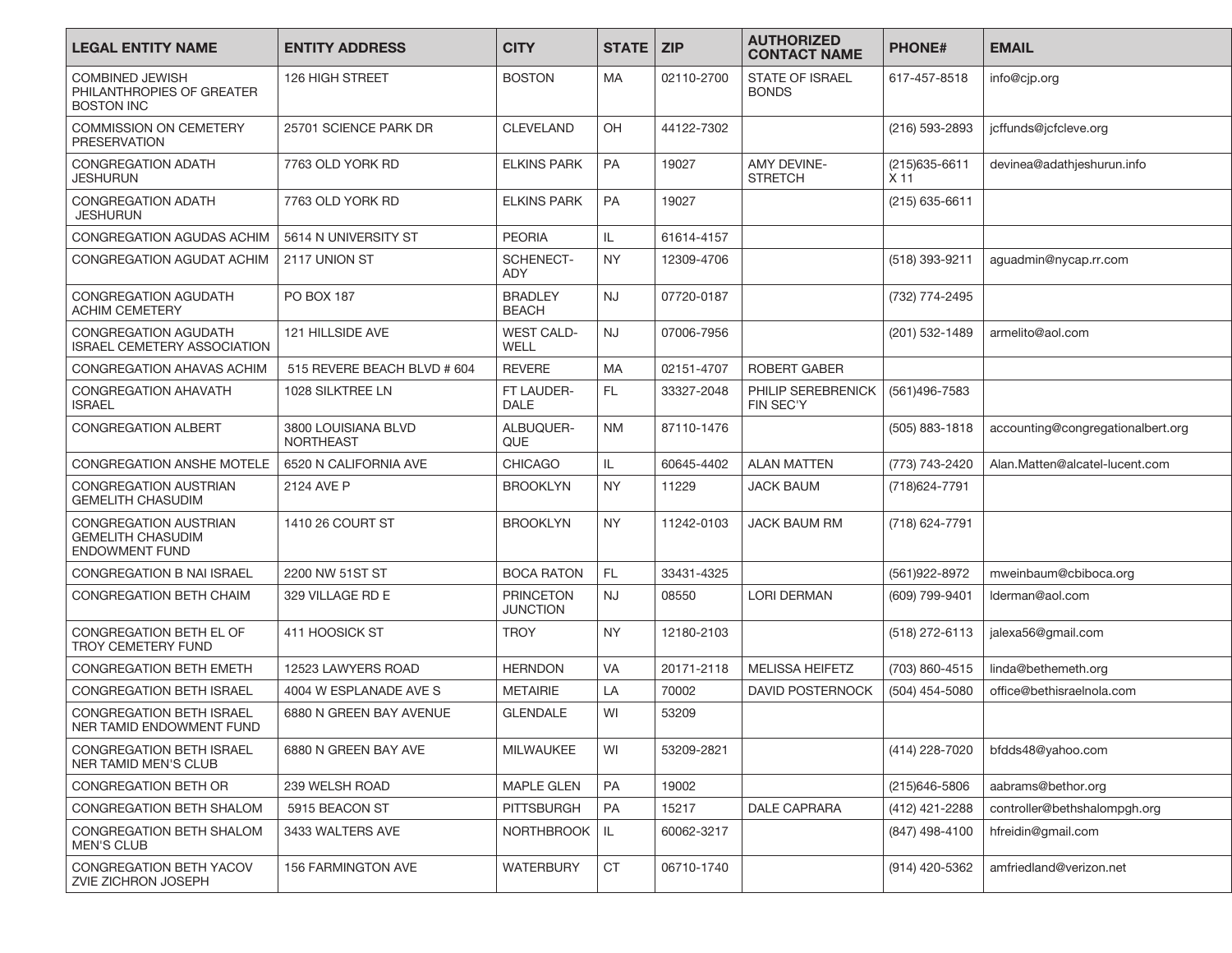| <b>LEGAL ENTITY NAME</b>                                                   | <b>ENTITY ADDRESS</b>                   | <b>CITY</b>                         | <b>STATE</b> I | <b>ZIP</b> | <b>AUTHORIZED</b><br><b>CONTACT NAME</b> | <b>PHONE#</b>            | <b>EMAIL</b>                      |
|----------------------------------------------------------------------------|-----------------------------------------|-------------------------------------|----------------|------------|------------------------------------------|--------------------------|-----------------------------------|
| <b>COMBINED JEWISH</b><br>PHILANTHROPIES OF GREATER<br><b>BOSTON INC</b>   | 126 HIGH STREET                         | <b>BOSTON</b>                       | МA             | 02110-2700 | <b>STATE OF ISRAEL</b><br><b>BONDS</b>   | 617-457-8518             | info@cjp.org                      |
| COMMISSION ON CEMETERY<br><b>PRESERVATION</b>                              | 25701 SCIENCE PARK DR                   | <b>CLEVELAND</b>                    | OH             | 44122-7302 |                                          | (216) 593-2893           | jcffunds@jcfcleve.org             |
| <b>CONGREGATION ADATH</b><br>JESHURUN                                      | 7763 OLD YORK RD                        | <b>ELKINS PARK</b>                  | <b>PA</b>      | 19027      | AMY DEVINE-<br><b>STRETCH</b>            | (215) 635-6611<br>$X$ 11 | devinea@adathjeshurun.info        |
| <b>CONGREGATION ADATH</b><br><b>JESHURUN</b>                               | 7763 OLD YORK RD                        | <b>ELKINS PARK</b>                  | PA             | 19027      |                                          | $(215)$ 635-6611         |                                   |
| CONGREGATION AGUDAS ACHIM                                                  | 5614 N UNIVERSITY ST                    | <b>PEORIA</b>                       | IL             | 61614-4157 |                                          |                          |                                   |
| CONGREGATION AGUDAT ACHIM                                                  | 2117 UNION ST                           | <b>SCHENECT-</b><br>ADY             | NY.            | 12309-4706 |                                          | (518) 393-9211           | aguadmin@nycap.rr.com             |
| <b>CONGREGATION AGUDATH</b><br><b>ACHIM CEMETERY</b>                       | <b>PO BOX 187</b>                       | <b>BRADLEY</b><br><b>BEACH</b>      | <b>NJ</b>      | 07720-0187 |                                          | (732) 774-2495           |                                   |
| <b>CONGREGATION AGUDATH</b><br><b>ISRAEL CEMETERY ASSOCIATION</b>          | 121 HILLSIDE AVE                        | <b>WEST CALD-</b><br>WELL           | <b>NJ</b>      | 07006-7956 |                                          | (201) 532-1489           | armelito@aol.com                  |
| CONGREGATION AHAVAS ACHIM                                                  | 515 REVERE BEACH BLVD # 604             | <b>REVERE</b>                       | <b>MA</b>      | 02151-4707 | <b>ROBERT GABER</b>                      |                          |                                   |
| <b>CONGREGATION AHAVATH</b><br><b>ISRAEL</b>                               | 1028 SILKTREE LN                        | FT LAUDER-<br><b>DALE</b>           | FL.            | 33327-2048 | PHILIP SEREBRENICK<br><b>FIN SEC'Y</b>   | (561)496-7583            |                                   |
| <b>CONGREGATION ALBERT</b>                                                 | 3800 LOUISIANA BLVD<br><b>NORTHEAST</b> | ALBUQUER-<br>QUE                    | NM             | 87110-1476 |                                          | (505) 883-1818           | accounting@congregationalbert.org |
| <b>CONGREGATION ANSHE MOTELE</b>                                           | 6520 N CALIFORNIA AVE                   | <b>CHICAGO</b>                      | IL.            | 60645-4402 | <b>ALAN MATTEN</b>                       | (773) 743-2420           | Alan.Matten@alcatel-lucent.com    |
| CONGREGATION AUSTRIAN<br><b>GEMELITH CHASUDIM</b>                          | 2124 AVE P                              | <b>BROOKLYN</b>                     | NY.            | 11229      | JACK BAUM                                | (718) 624 - 7791         |                                   |
| CONGREGATION AUSTRIAN<br><b>GEMELITH CHASUDIM</b><br><b>ENDOWMENT FUND</b> | 1410 26 COURT ST                        | <b>BROOKLYN</b>                     | <b>NY</b>      | 11242-0103 | <b>JACK BAUM RM</b>                      | (718) 624-7791           |                                   |
| CONGREGATION B NAI ISRAEL                                                  | 2200 NW 51ST ST                         | <b>BOCA RATON</b>                   | FL.            | 33431-4325 |                                          | (561) 922-8972           | mweinbaum@cbiboca.org             |
| <b>CONGREGATION BETH CHAIM</b>                                             | 329 VILLAGE RD E                        | <b>PRINCETON</b><br><b>JUNCTION</b> | <b>NJ</b>      | 08550      | LORI DERMAN                              | (609) 799-9401           | Iderman@aol.com                   |
| CONGREGATION BETH EL OF<br><b>TROY CEMETERY FUND</b>                       | 411 HOOSICK ST                          | <b>TROY</b>                         | <b>NY</b>      | 12180-2103 |                                          | (518) 272-6113           | jalexa56@gmail.com                |
| <b>CONGREGATION BETH EMETH</b>                                             | 12523 LAWYERS ROAD                      | <b>HERNDON</b>                      | <b>VA</b>      | 20171-2118 | <b>MELISSA HEIFETZ</b>                   | (703) 860-4515           | linda@bethemeth.org               |
| <b>CONGREGATION BETH ISRAEL</b>                                            | 4004 W ESPLANADE AVE S                  | <b>METAIRIE</b>                     | LA             | 70002      | <b>DAVID POSTERNOCK</b>                  | (504) 454-5080           | office@bethisraelnola.com         |
| <b>CONGREGATION BETH ISRAEL</b><br>NER TAMID ENDOWMENT FUND                | 6880 N GREEN BAY AVENUE                 | <b>GLENDALE</b>                     | WI             | 53209      |                                          |                          |                                   |
| <b>CONGREGATION BETH ISRAEL</b><br><b>NER TAMID MEN'S CLUB</b>             | 6880 N GREEN BAY AVE                    | MILWAUKEE                           | WI             | 53209-2821 |                                          | (414) 228-7020           | bfdds48@yahoo.com                 |
| CONGREGATION BETH OR                                                       | 239 WELSH ROAD                          | MAPLE GLEN                          | PA             | 19002      |                                          | (215)646-5806            | aabrams@bethor.org                |
| <b>CONGREGATION BETH SHALOM</b>                                            | 5915 BEACON ST                          | <b>PITTSBURGH</b>                   | PA             | 15217      | DALE CAPRARA                             | (412) 421-2288           | controller@bethshalompgh.org      |
| CONGREGATION BETH SHALOM<br><b>MEN'S CLUB</b>                              | 3433 WALTERS AVE                        | <b>NORTHBROOK</b>                   | IL.            | 60062-3217 |                                          | (847) 498-4100           | hfreidin@gmail.com                |
| CONGREGATION BETH YACOV<br>ZVIE ZICHRON JOSEPH                             | 156 FARMINGTON AVE                      | <b>WATERBURY</b>                    | <b>CT</b>      | 06710-1740 |                                          | (914) 420-5362           | amfriedland@verizon.net           |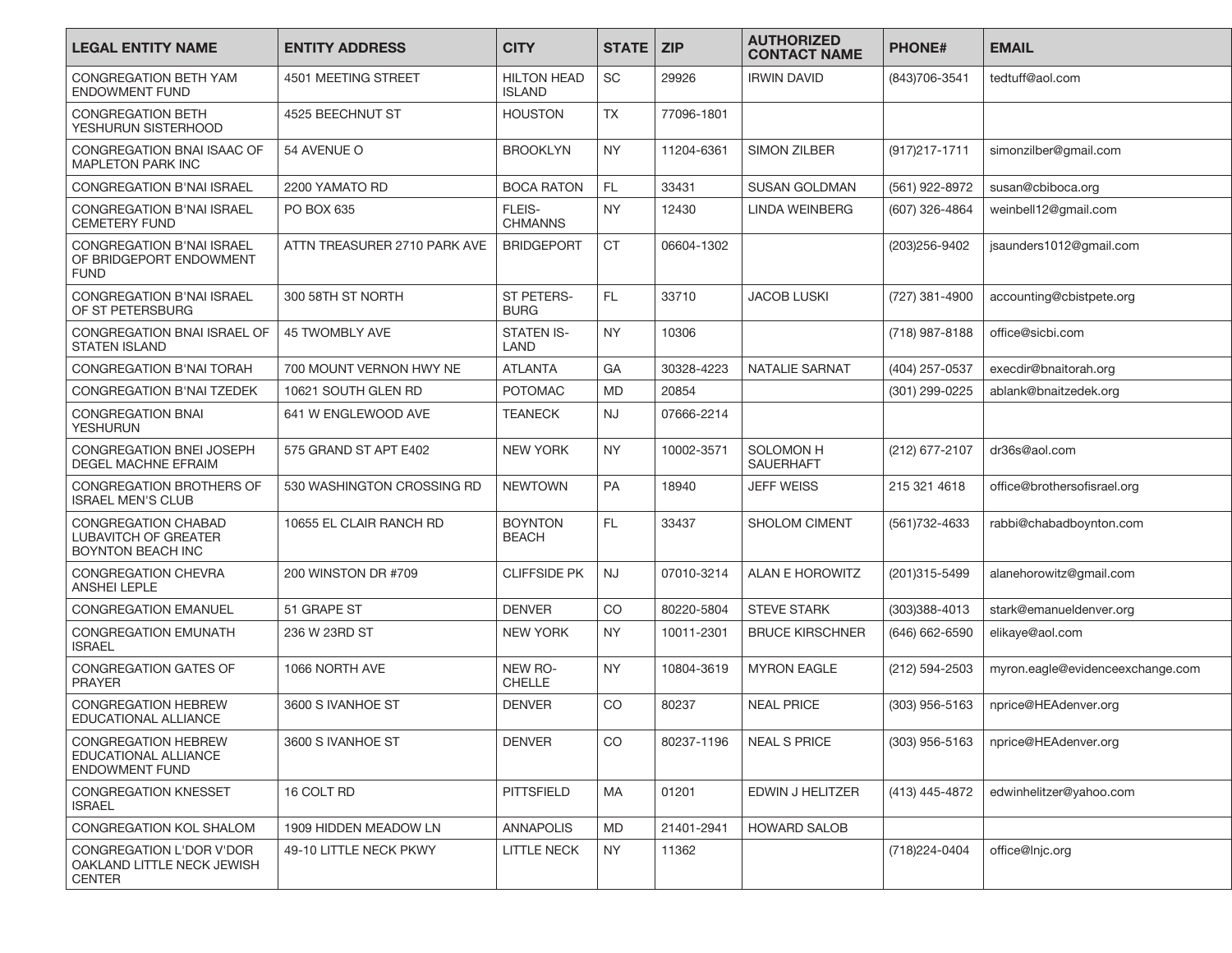| <b>LEGAL ENTITY NAME</b>                                                              | <b>ENTITY ADDRESS</b>        | <b>CITY</b>                         | <b>STATE</b> | <b>ZIP</b> | <b>AUTHORIZED</b><br><b>CONTACT NAME</b> | <b>PHONE#</b>     | <b>EMAIL</b>                     |
|---------------------------------------------------------------------------------------|------------------------------|-------------------------------------|--------------|------------|------------------------------------------|-------------------|----------------------------------|
| <b>CONGREGATION BETH YAM</b><br><b>ENDOWMENT FUND</b>                                 | 4501 MEETING STREET          | <b>HILTON HEAD</b><br><b>ISLAND</b> | <b>SC</b>    | 29926      | <b>IRWIN DAVID</b>                       | (843) 706-3541    | tedtuff@aol.com                  |
| <b>CONGREGATION BETH</b><br>YESHURUN SISTERHOOD                                       | 4525 BEECHNUT ST             | <b>HOUSTON</b>                      | <b>TX</b>    | 77096-1801 |                                          |                   |                                  |
| CONGREGATION BNAI ISAAC OF<br><b>MAPLETON PARK INC</b>                                | 54 AVENUE O                  | <b>BROOKLYN</b>                     | <b>NY</b>    | 11204-6361 | <b>SIMON ZILBER</b>                      | $(917)217 - 1711$ | simonzilber@gmail.com            |
| <b>CONGREGATION B'NAI ISRAEL</b>                                                      | 2200 YAMATO RD               | <b>BOCA RATON</b>                   | <b>FL</b>    | 33431      | <b>SUSAN GOLDMAN</b>                     | (561) 922-8972    | susan@cbiboca.org                |
| <b>CONGREGATION B'NAI ISRAEL</b><br><b>CEMETERY FUND</b>                              | PO BOX 635                   | FLEIS-<br><b>CHMANNS</b>            | <b>NY</b>    | 12430      | LINDA WEINBERG                           | (607) 326-4864    | weinbell12@gmail.com             |
| <b>CONGREGATION B'NAI ISRAEL</b><br>OF BRIDGEPORT ENDOWMENT<br><b>FUND</b>            | ATTN TREASURER 2710 PARK AVE | <b>BRIDGEPORT</b>                   | <b>CT</b>    | 06604-1302 |                                          | (203)256-9402     | jsaunders1012@gmail.com          |
| <b>CONGREGATION B'NAI ISRAEL</b><br>OF ST PETERSBURG                                  | 300 58TH ST NORTH            | <b>ST PETERS-</b><br><b>BURG</b>    | <b>FL</b>    | 33710      | <b>JACOB LUSKI</b>                       | (727) 381-4900    | accounting@cbistpete.org         |
| CONGREGATION BNAI ISRAEL OF<br><b>STATEN ISLAND</b>                                   | <b>45 TWOMBLY AVE</b>        | <b>STATEN IS-</b><br>LAND           | <b>NY</b>    | 10306      |                                          | (718) 987-8188    | office@sicbi.com                 |
| CONGREGATION B'NAI TORAH                                                              | 700 MOUNT VERNON HWY NE      | <b>ATLANTA</b>                      | GA           | 30328-4223 | <b>NATALIE SARNAT</b>                    | (404) 257-0537    | execdir@bnaitorah.org            |
| <b>CONGREGATION B'NAI TZEDEK</b>                                                      | 10621 SOUTH GLEN RD          | <b>POTOMAC</b>                      | <b>MD</b>    | 20854      |                                          | (301) 299-0225    | ablank@bnaitzedek.org            |
| <b>CONGREGATION BNAI</b><br><b>YESHURUN</b>                                           | 641 W ENGLEWOOD AVE          | <b>TEANECK</b>                      | NJ           | 07666-2214 |                                          |                   |                                  |
| CONGREGATION BNEI JOSEPH<br><b>DEGEL MACHNE EFRAIM</b>                                | 575 GRAND ST APT E402        | <b>NEW YORK</b>                     | <b>NY</b>    | 10002-3571 | SOLOMON H<br><b>SAUERHAFT</b>            | (212) 677-2107    | dr36s@aol.com                    |
| CONGREGATION BROTHERS OF<br><b>ISRAEL MEN'S CLUB</b>                                  | 530 WASHINGTON CROSSING RD   | <b>NEWTOWN</b>                      | PA           | 18940      | JEFF WEISS                               | 215 321 4618      | office@brothersofisrael.org      |
| <b>CONGREGATION CHABAD</b><br><b>LUBAVITCH OF GREATER</b><br><b>BOYNTON BEACH INC</b> | 10655 EL CLAIR RANCH RD      | <b>BOYNTON</b><br><b>BEACH</b>      | <b>FL</b>    | 33437      | SHOLOM CIMENT                            | (561) 732 - 4633  | rabbi@chabadboynton.com          |
| <b>CONGREGATION CHEVRA</b><br>ANSHEI LEPLE                                            | 200 WINSTON DR #709          | <b>CLIFFSIDE PK</b>                 | <b>NJ</b>    | 07010-3214 | <b>ALAN E HOROWITZ</b>                   | (201)315-5499     | alanehorowitz@gmail.com          |
| <b>CONGREGATION EMANUEL</b>                                                           | 51 GRAPE ST                  | <b>DENVER</b>                       | CO           | 80220-5804 | <b>STEVE STARK</b>                       | (303)388-4013     | stark@emanueldenver.org          |
| <b>CONGREGATION EMUNATH</b><br><b>ISRAEL</b>                                          | 236 W 23RD ST                | <b>NEW YORK</b>                     | <b>NY</b>    | 10011-2301 | <b>BRUCE KIRSCHNER</b>                   | (646) 662-6590    | elikaye@aol.com                  |
| CONGREGATION GATES OF<br><b>PRAYER</b>                                                | 1066 NORTH AVE               | NEW RO-<br><b>CHELLE</b>            | <b>NY</b>    | 10804-3619 | <b>MYRON EAGLE</b>                       | (212) 594-2503    | myron.eagle@evidenceexchange.com |
| <b>CONGREGATION HEBREW</b><br>EDUCATIONAL ALLIANCE                                    | 3600 S IVANHOE ST            | <b>DENVER</b>                       | <b>CO</b>    | 80237      | <b>NEAL PRICE</b>                        | (303) 956-5163    | nprice@HEAdenver.org             |
| CONGREGATION HEBREW<br>EDUCATIONAL ALLIANCE<br><b>ENDOWMENT FUND</b>                  | 3600 S IVANHOE ST            | <b>DENVER</b>                       | CO           | 80237-1196 | <b>NEAL S PRICE</b>                      | (303) 956-5163    | nprice@HEAdenver.org             |
| <b>CONGREGATION KNESSET</b><br><b>ISRAEL</b>                                          | 16 COLT RD                   | <b>PITTSFIELD</b>                   | MA           | 01201      | EDWIN J HELITZER                         | (413) 445-4872    | edwinhelitzer@yahoo.com          |
| CONGREGATION KOL SHALOM                                                               | 1909 HIDDEN MEADOW LN        | <b>ANNAPOLIS</b>                    | <b>MD</b>    | 21401-2941 | <b>HOWARD SALOB</b>                      |                   |                                  |
| CONGREGATION L'DOR V'DOR<br>OAKLAND LITTLE NECK JEWISH<br><b>CENTER</b>               | 49-10 LITTLE NECK PKWY       | <b>LITTLE NECK</b>                  | NY.          | 11362      |                                          | (718) 224-0404    | office@Injc.org                  |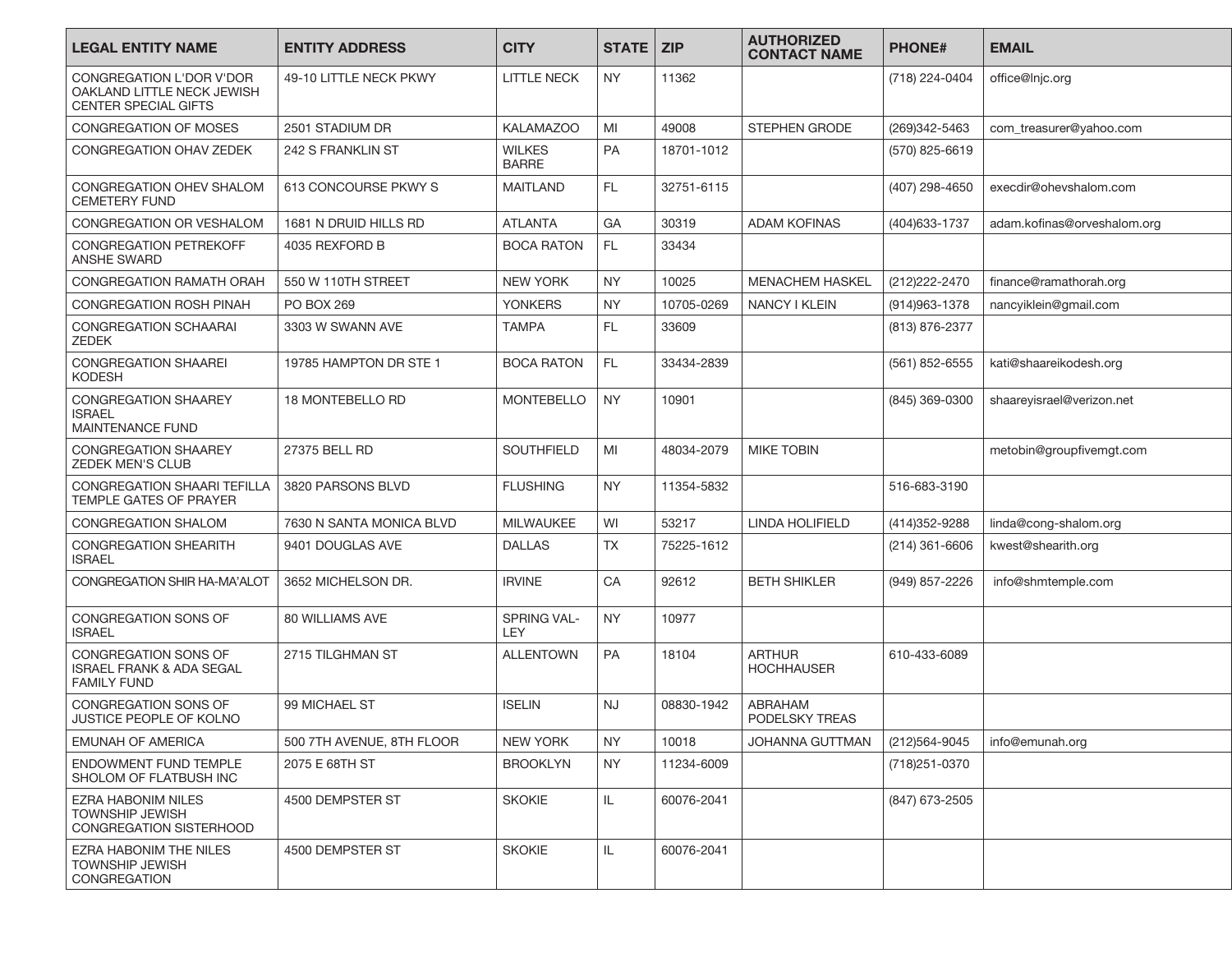| <b>LEGAL ENTITY NAME</b>                                                                 | <b>ENTITY ADDRESS</b>     | <b>CITY</b>                   | <b>STATE</b> | <b>ZIP</b> | <b>AUTHORIZED</b><br><b>CONTACT NAME</b> | <b>PHONE#</b>    | <b>EMAIL</b>                |
|------------------------------------------------------------------------------------------|---------------------------|-------------------------------|--------------|------------|------------------------------------------|------------------|-----------------------------|
| CONGREGATION L'DOR V'DOR<br>OAKLAND LITTLE NECK JEWISH<br><b>CENTER SPECIAL GIFTS</b>    | 49-10 LITTLE NECK PKWY    | <b>LITTLE NECK</b>            | <b>NY</b>    | 11362      |                                          | (718) 224-0404   | office@Injc.org             |
| CONGREGATION OF MOSES                                                                    | 2501 STADIUM DR           | <b>KALAMAZOO</b>              | MI           | 49008      | <b>STEPHEN GRODE</b>                     | (269)342-5463    | com_treasurer@yahoo.com     |
| CONGREGATION OHAV ZEDEK                                                                  | 242 S FRANKLIN ST         | <b>WILKES</b><br><b>BARRE</b> | <b>PA</b>    | 18701-1012 |                                          | (570) 825-6619   |                             |
| CONGREGATION OHEV SHALOM<br><b>CEMETERY FUND</b>                                         | 613 CONCOURSE PKWY S      | <b>MAITLAND</b>               | FL.          | 32751-6115 |                                          | (407) 298-4650   | execdir@ohevshalom.com      |
| CONGREGATION OR VESHALOM                                                                 | 1681 N DRUID HILLS RD     | <b>ATLANTA</b>                | GA           | 30319      | <b>ADAM KOFINAS</b>                      | (404) 633 - 1737 | adam.kofinas@orveshalom.org |
| <b>CONGREGATION PETREKOFF</b><br><b>ANSHE SWARD</b>                                      | 4035 REXFORD B            | <b>BOCA RATON</b>             | FL.          | 33434      |                                          |                  |                             |
| <b>CONGREGATION RAMATH ORAH</b>                                                          | 550 W 110TH STREET        | <b>NEW YORK</b>               | <b>NY</b>    | 10025      | MENACHEM HASKEL                          | (212) 222 - 2470 | finance@ramathorah.org      |
| CONGREGATION ROSH PINAH                                                                  | <b>PO BOX 269</b>         | <b>YONKERS</b>                | <b>NY</b>    | 10705-0269 | NANCY I KLEIN                            | (914) 963 - 1378 | nancyiklein@gmail.com       |
| <b>CONGREGATION SCHAARAI</b><br><b>ZEDEK</b>                                             | 3303 W SWANN AVE          | <b>TAMPA</b>                  | FL.          | 33609      |                                          | (813) 876-2377   |                             |
| <b>CONGREGATION SHAAREI</b><br><b>KODESH</b>                                             | 19785 HAMPTON DR STE 1    | <b>BOCA RATON</b>             | FL.          | 33434-2839 |                                          | (561) 852-6555   | kati@shaareikodesh.org      |
| <b>CONGREGATION SHAAREY</b><br><b>ISRAEL</b><br><b>MAINTENANCE FUND</b>                  | 18 MONTEBELLO RD          | <b>MONTEBELLO</b>             | <b>NY</b>    | 10901      |                                          | (845) 369-0300   | shaareyisrael@verizon.net   |
| <b>CONGREGATION SHAAREY</b><br><b>ZEDEK MEN'S CLUB</b>                                   | 27375 BELL RD             | <b>SOUTHFIELD</b>             | MI           | 48034-2079 | <b>MIKE TOBIN</b>                        |                  | metobin@groupfivemgt.com    |
| <b>CONGREGATION SHAARI TEFILLA</b><br><b>TEMPLE GATES OF PRAYER</b>                      | 3820 PARSONS BLVD         | <b>FLUSHING</b>               | <b>NY</b>    | 11354-5832 |                                          | 516-683-3190     |                             |
| <b>CONGREGATION SHALOM</b>                                                               | 7630 N SANTA MONICA BLVD  | <b>MILWAUKEE</b>              | WI           | 53217      | LINDA HOLIFIELD                          | (414) 352-9288   | linda@cong-shalom.org       |
| <b>CONGREGATION SHEARITH</b><br><b>ISRAEL</b>                                            | 9401 DOUGLAS AVE          | <b>DALLAS</b>                 | <b>TX</b>    | 75225-1612 |                                          | $(214)$ 361-6606 | kwest@shearith.org          |
| CONGREGATION SHIR HA-MA'ALOT                                                             | 3652 MICHELSON DR.        | <b>IRVINE</b>                 | CA           | 92612      | <b>BETH SHIKLER</b>                      | (949) 857-2226   | info@shmtemple.com          |
| CONGREGATION SONS OF<br><b>ISRAEL</b>                                                    | 80 WILLIAMS AVE           | SPRING VAL-<br><b>LEY</b>     | <b>NY</b>    | 10977      |                                          |                  |                             |
| <b>CONGREGATION SONS OF</b><br><b>ISRAEL FRANK &amp; ADA SEGAL</b><br><b>FAMILY FUND</b> | 2715 TILGHMAN ST          | <b>ALLENTOWN</b>              | <b>PA</b>    | 18104      | <b>ARTHUR</b><br><b>HOCHHAUSER</b>       | 610-433-6089     |                             |
| CONGREGATION SONS OF<br><b>JUSTICE PEOPLE OF KOLNO</b>                                   | 99 MICHAEL ST             | <b>ISELIN</b>                 | <b>NJ</b>    | 08830-1942 | ABRAHAM<br>PODELSKY TREAS                |                  |                             |
| EMUNAH OF AMERICA                                                                        | 500 7TH AVENUE, 8TH FLOOR | NEW YORK                      | <b>NY</b>    | 10018      | JOHANNA GUTTMAN                          | (212)564-9045    | info@emunah.org             |
| ENDOWMENT FUND TEMPLE<br>SHOLOM OF FLATBUSH INC                                          | 2075 E 68TH ST            | <b>BROOKLYN</b>               | <b>NY</b>    | 11234-6009 |                                          | (718) 251-0370   |                             |
| EZRA HABONIM NILES<br><b>TOWNSHIP JEWISH</b><br>CONGREGATION SISTERHOOD                  | 4500 DEMPSTER ST          | <b>SKOKIE</b>                 | IL.          | 60076-2041 |                                          | (847) 673-2505   |                             |
| EZRA HABONIM THE NILES<br><b>TOWNSHIP JEWISH</b><br>CONGREGATION                         | 4500 DEMPSTER ST          | <b>SKOKIE</b>                 | IL           | 60076-2041 |                                          |                  |                             |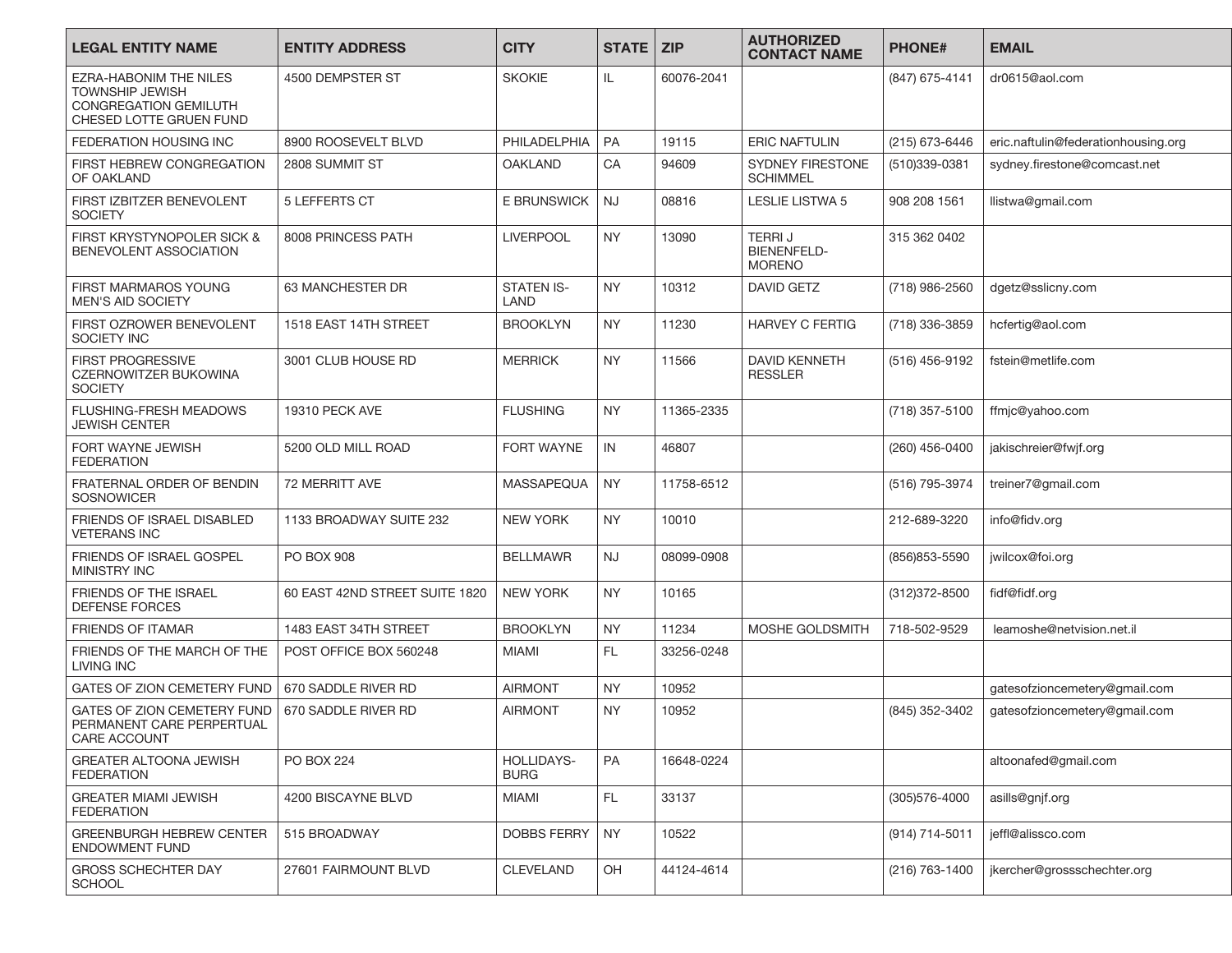| <b>LEGAL ENTITY NAME</b>                                                                                    | <b>ENTITY ADDRESS</b>          | <b>CITY</b>               | <b>STATE</b> | <b>ZIP</b> | <b>AUTHORIZED</b><br><b>CONTACT NAME</b>             | <b>PHONE#</b>  | <b>EMAIL</b>                        |
|-------------------------------------------------------------------------------------------------------------|--------------------------------|---------------------------|--------------|------------|------------------------------------------------------|----------------|-------------------------------------|
| EZRA-HABONIM THE NILES<br><b>TOWNSHIP JEWISH</b><br><b>CONGREGATION GEMILUTH</b><br>CHESED LOTTE GRUEN FUND | 4500 DEMPSTER ST               | <b>SKOKIE</b>             | IL.          | 60076-2041 |                                                      | (847) 675-4141 | dr0615@aol.com                      |
| FEDERATION HOUSING INC                                                                                      | 8900 ROOSEVELT BLVD            | PHILADELPHIA              | PA           | 19115      | <b>ERIC NAFTULIN</b>                                 | (215) 673-6446 | eric.naftulin@federationhousing.org |
| FIRST HEBREW CONGREGATION<br>OF OAKLAND                                                                     | 2808 SUMMIT ST                 | <b>OAKLAND</b>            | CA           | 94609      | <b>SYDNEY FIRESTONE</b><br>SCHIMMEL                  | (510)339-0381  | sydney.firestone@comcast.net        |
| FIRST IZBITZER BENEVOLENT<br><b>SOCIETY</b>                                                                 | 5 LEFFERTS CT                  | E BRUNSWICK               | <b>NJ</b>    | 08816      | <b>LESLIE LISTWA 5</b>                               | 908 208 1561   | llistwa@gmail.com                   |
| FIRST KRYSTYNOPOLER SICK &<br>BENEVOLENT ASSOCIATION                                                        | 8008 PRINCESS PATH             | <b>LIVERPOOL</b>          | <b>NY</b>    | 13090      | <b>TERRIJ</b><br><b>BIENENFELD-</b><br><b>MORENO</b> | 315 362 0402   |                                     |
| FIRST MARMAROS YOUNG<br><b>MEN'S AID SOCIETY</b>                                                            | 63 MANCHESTER DR               | <b>STATEN IS-</b><br>LAND | <b>NY</b>    | 10312      | DAVID GETZ                                           | (718) 986-2560 | dgetz@sslicny.com                   |
| FIRST OZROWER BENEVOLENT<br>SOCIETY INC                                                                     | 1518 EAST 14TH STREET          | <b>BROOKLYN</b>           | <b>NY</b>    | 11230      | <b>HARVEY C FERTIG</b>                               | (718) 336-3859 | hcfertig@aol.com                    |
| <b>FIRST PROGRESSIVE</b><br><b>CZERNOWITZER BUKOWINA</b><br><b>SOCIETY</b>                                  | 3001 CLUB HOUSE RD             | <b>MERRICK</b>            | <b>NY</b>    | 11566      | DAVID KENNETH<br><b>RESSLER</b>                      | (516) 456-9192 | fstein@metlife.com                  |
| FLUSHING-FRESH MEADOWS<br><b>JEWISH CENTER</b>                                                              | 19310 PECK AVE                 | <b>FLUSHING</b>           | <b>NY</b>    | 11365-2335 |                                                      | (718) 357-5100 | ffmjc@yahoo.com                     |
| FORT WAYNE JEWISH<br><b>FEDERATION</b>                                                                      | 5200 OLD MILL ROAD             | <b>FORT WAYNE</b>         | IN           | 46807      |                                                      | (260) 456-0400 | jakischreier@fwjf.org               |
| FRATERNAL ORDER OF BENDIN<br>SOSNOWICER                                                                     | 72 MERRITT AVE                 | <b>MASSAPEQUA</b>         | <b>NY</b>    | 11758-6512 |                                                      | (516) 795-3974 | treiner7@gmail.com                  |
| FRIENDS OF ISRAEL DISABLED<br><b>VETERANS INC</b>                                                           | 1133 BROADWAY SUITE 232        | <b>NEW YORK</b>           | <b>NY</b>    | 10010      |                                                      | 212-689-3220   | info@fidv.org                       |
| <b>FRIENDS OF ISRAEL GOSPEL</b><br><b>MINISTRY INC</b>                                                      | <b>PO BOX 908</b>              | <b>BELLMAWR</b>           | <b>NJ</b>    | 08099-0908 |                                                      | (856) 853-5590 | jwilcox@foi.org                     |
| FRIENDS OF THE ISRAEL<br><b>DEFENSE FORCES</b>                                                              | 60 EAST 42ND STREET SUITE 1820 | <b>NEW YORK</b>           | <b>NY</b>    | 10165      |                                                      | (312) 372-8500 | fidf@fidf.org                       |
| <b>FRIENDS OF ITAMAR</b>                                                                                    | 1483 EAST 34TH STREET          | <b>BROOKLYN</b>           | <b>NY</b>    | 11234      | MOSHE GOLDSMITH                                      | 718-502-9529   | leamoshe@netvision.net.il           |
| FRIENDS OF THE MARCH OF THE<br><b>LIVING INC</b>                                                            | POST OFFICE BOX 560248         | <b>MIAMI</b>              | FL.          | 33256-0248 |                                                      |                |                                     |
| <b>GATES OF ZION CEMETERY FUND</b>                                                                          | 670 SADDLE RIVER RD            | <b>AIRMONT</b>            | <b>NY</b>    | 10952      |                                                      |                | gatesofzioncemetery@gmail.com       |
| GATES OF ZION CEMETERY FUND<br>PERMANENT CARE PERPERTUAL<br>CARE ACCOUNT                                    | 670 SADDLE RIVER RD            | <b>AIRMONT</b>            | <b>NY</b>    | 10952      |                                                      | (845) 352-3402 | gatesofzioncemetery@gmail.com       |
| <b>GREATER ALTOONA JEWISH</b><br><b>FEDERATION</b>                                                          | PO BOX 224                     | HOLLIDAYS-<br><b>BURG</b> | PA           | 16648-0224 |                                                      |                | altoonafed@gmail.com                |
| <b>GREATER MIAMI JEWISH</b><br><b>FEDERATION</b>                                                            | 4200 BISCAYNE BLVD             | <b>MIAMI</b>              | FL.          | 33137      |                                                      | (305)576-4000  | asills@gnjf.org                     |
| <b>GREENBURGH HEBREW CENTER</b><br><b>ENDOWMENT FUND</b>                                                    | 515 BROADWAY                   | DOBBS FERRY               | <b>NY</b>    | 10522      |                                                      | (914) 714-5011 | jeffl@alissco.com                   |
| <b>GROSS SCHECHTER DAY</b><br><b>SCHOOL</b>                                                                 | 27601 FAIRMOUNT BLVD           | <b>CLEVELAND</b>          | OH           | 44124-4614 |                                                      | (216) 763-1400 | jkercher@grossschechter.org         |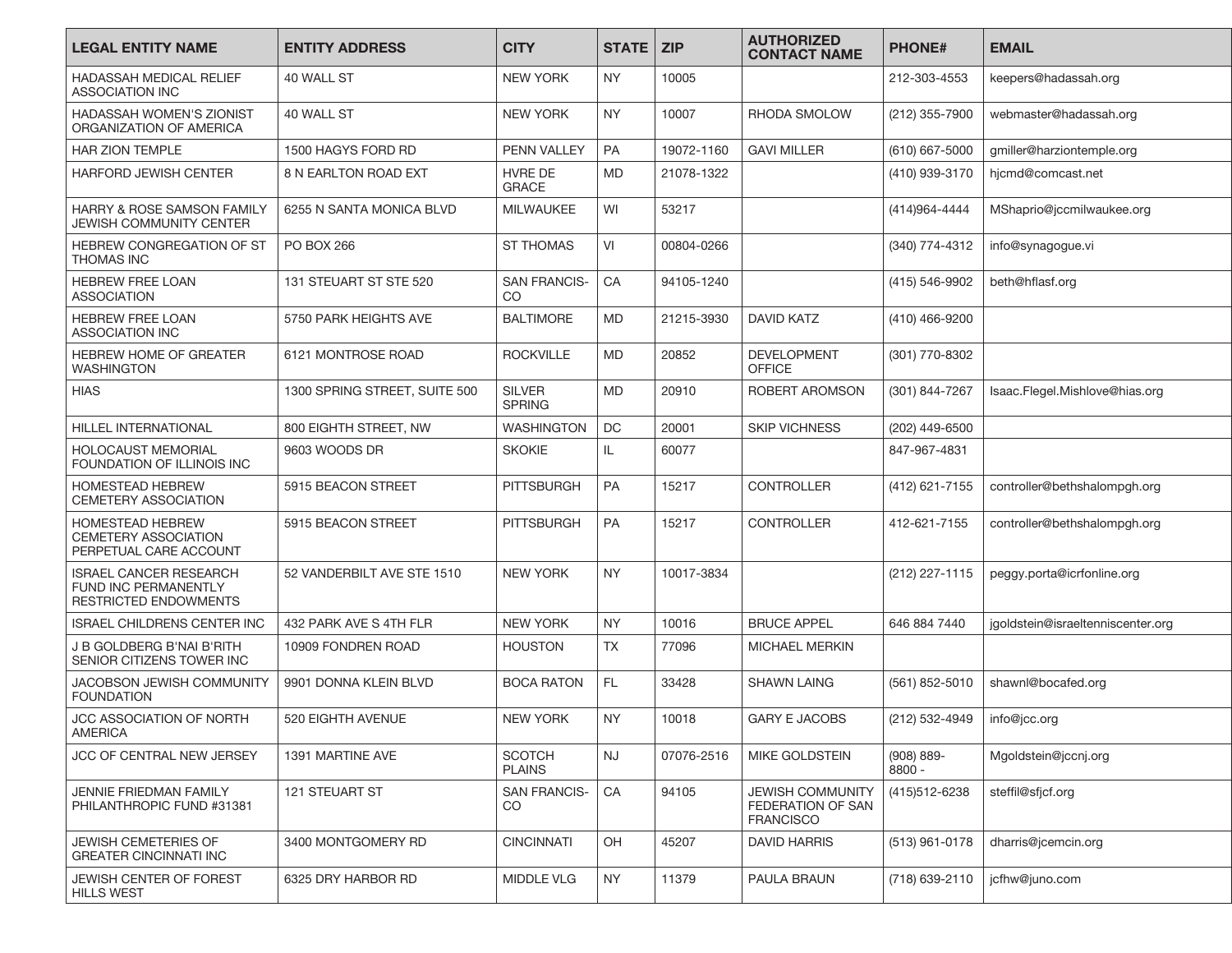| <b>LEGAL ENTITY NAME</b>                                                              | <b>ENTITY ADDRESS</b>         | <b>CITY</b>                          | <b>STATE</b> | <b>ZIP</b> | <b>AUTHORIZED</b><br><b>CONTACT NAME</b>                         | <b>PHONE#</b>        | <b>EMAIL</b>                      |
|---------------------------------------------------------------------------------------|-------------------------------|--------------------------------------|--------------|------------|------------------------------------------------------------------|----------------------|-----------------------------------|
| HADASSAH MEDICAL RELIEF<br><b>ASSOCIATION INC</b>                                     | 40 WALL ST                    | <b>NEW YORK</b>                      | <b>NY</b>    | 10005      |                                                                  | 212-303-4553         | keepers@hadassah.org              |
| HADASSAH WOMEN'S ZIONIST<br>ORGANIZATION OF AMERICA                                   | 40 WALL ST                    | <b>NEW YORK</b>                      | <b>NY</b>    | 10007      | RHODA SMOLOW                                                     | (212) 355-7900       | webmaster@hadassah.org            |
| <b>HAR ZION TEMPLE</b>                                                                | 1500 HAGYS FORD RD            | PENN VALLEY                          | <b>PA</b>    | 19072-1160 | <b>GAVI MILLER</b>                                               | (610) 667-5000       | gmiller@harziontemple.org         |
| <b>HARFORD JEWISH CENTER</b>                                                          | <b>8 N EARLTON ROAD EXT</b>   | <b>HVRE DE</b><br><b>GRACE</b>       | <b>MD</b>    | 21078-1322 |                                                                  | (410) 939-3170       | hjcmd@comcast.net                 |
| <b>HARRY &amp; ROSE SAMSON FAMILY</b><br><b>JEWISH COMMUNITY CENTER</b>               | 6255 N SANTA MONICA BLVD      | <b>MILWAUKEE</b>                     | WI           | 53217      |                                                                  | (414) 964 - 4444     | MShaprio@jccmilwaukee.org         |
| <b>HEBREW CONGREGATION OF ST</b><br><b>THOMAS INC</b>                                 | PO BOX 266                    | <b>ST THOMAS</b>                     | VI           | 00804-0266 |                                                                  | (340) 774-4312       | info@synagogue.vi                 |
| <b>HEBREW FREE LOAN</b><br><b>ASSOCIATION</b>                                         | 131 STEUART ST STE 520        | <b>SAN FRANCIS-</b><br><sub>CO</sub> | CA           | 94105-1240 |                                                                  | (415) 546-9902       | beth@hflasf.org                   |
| <b>HEBREW FREE LOAN</b><br><b>ASSOCIATION INC</b>                                     | 5750 PARK HEIGHTS AVE         | <b>BALTIMORE</b>                     | <b>MD</b>    | 21215-3930 | <b>DAVID KATZ</b>                                                | (410) 466-9200       |                                   |
| <b>HEBREW HOME OF GREATER</b><br><b>WASHINGTON</b>                                    | 6121 MONTROSE ROAD            | <b>ROCKVILLE</b>                     | <b>MD</b>    | 20852      | <b>DEVELOPMENT</b><br><b>OFFICE</b>                              | (301) 770-8302       |                                   |
| <b>HIAS</b>                                                                           | 1300 SPRING STREET, SUITE 500 | <b>SILVER</b><br><b>SPRING</b>       | <b>MD</b>    | 20910      | ROBERT AROMSON                                                   | (301) 844-7267       | Isaac.Flegel.Mishlove@hias.org    |
| <b>HILLEL INTERNATIONAL</b>                                                           | 800 EIGHTH STREET, NW         | <b>WASHINGTON</b>                    | DC           | 20001      | <b>SKIP VICHNESS</b>                                             | (202) 449-6500       |                                   |
| <b>HOLOCAUST MEMORIAL</b><br>FOUNDATION OF ILLINOIS INC                               | 9603 WOODS DR                 | <b>SKOKIE</b>                        | IL.          | 60077      |                                                                  | 847-967-4831         |                                   |
| <b>HOMESTEAD HEBREW</b><br>CEMETERY ASSOCIATION                                       | 5915 BEACON STREET            | <b>PITTSBURGH</b>                    | <b>PA</b>    | 15217      | <b>CONTROLLER</b>                                                | (412) 621-7155       | controller@bethshalompgh.org      |
| <b>HOMESTEAD HEBREW</b><br><b>CEMETERY ASSOCIATION</b><br>PERPETUAL CARE ACCOUNT      | 5915 BEACON STREET            | <b>PITTSBURGH</b>                    | <b>PA</b>    | 15217      | <b>CONTROLLER</b>                                                | 412-621-7155         | controller@bethshalompgh.org      |
| <b>ISRAEL CANCER RESEARCH</b><br>FUND INC PERMANENTLY<br><b>RESTRICTED ENDOWMENTS</b> | 52 VANDERBILT AVE STE 1510    | <b>NEW YORK</b>                      | <b>NY</b>    | 10017-3834 |                                                                  | (212) 227-1115       | peggy.porta@icrfonline.org        |
| <b>ISRAEL CHILDRENS CENTER INC</b>                                                    | 432 PARK AVE S 4TH FLR        | <b>NEW YORK</b>                      | <b>NY</b>    | 10016      | <b>BRUCE APPEL</b>                                               | 646 884 7440         | jgoldstein@israeltenniscenter.org |
| J B GOLDBERG B'NAI B'RITH<br>SENIOR CITIZENS TOWER INC                                | 10909 FONDREN ROAD            | <b>HOUSTON</b>                       | <b>TX</b>    | 77096      | <b>MICHAEL MERKIN</b>                                            |                      |                                   |
| JACOBSON JEWISH COMMUNITY<br><b>FOUNDATION</b>                                        | 9901 DONNA KLEIN BLVD         | <b>BOCA RATON</b>                    | FL.          | 33428      | <b>SHAWN LAING</b>                                               | (561) 852-5010       | shawnl@bocafed.org                |
| JCC ASSOCIATION OF NORTH<br><b>AMERICA</b>                                            | 520 EIGHTH AVENUE             | <b>NEW YORK</b>                      | <b>NY</b>    | 10018      | <b>GARY E JACOBS</b>                                             | (212) 532-4949       | info@jcc.org                      |
| <b>JCC OF CENTRAL NEW JERSEY</b>                                                      | 1391 MARTINE AVE              | <b>SCOTCH</b><br><b>PLAINS</b>       | NJ           | 07076-2516 | MIKE GOLDSTEIN                                                   | (908) 889-<br>8800 - | Mgoldstein@jccnj.org              |
| JENNIE FRIEDMAN FAMILY<br>PHILANTHROPIC FUND #31381                                   | 121 STEUART ST                | <b>SAN FRANCIS-</b><br>CO            | CA           | 94105      | <b>JEWISH COMMUNITY</b><br>FEDERATION OF SAN<br><b>FRANCISCO</b> | (415)512-6238        | steffil@sfjcf.org                 |
| <b>JEWISH CEMETERIES OF</b><br><b>GREATER CINCINNATI INC</b>                          | 3400 MONTGOMERY RD            | <b>CINCINNATI</b>                    | OH           | 45207      | DAVID HARRIS                                                     | (513) 961-0178       | dharris@jcemcin.org               |
| JEWISH CENTER OF FOREST<br><b>HILLS WEST</b>                                          | 6325 DRY HARBOR RD            | <b>MIDDLE VLG</b>                    | <b>NY</b>    | 11379      | PAULA BRAUN                                                      | (718) 639-2110       | jcfhw@juno.com                    |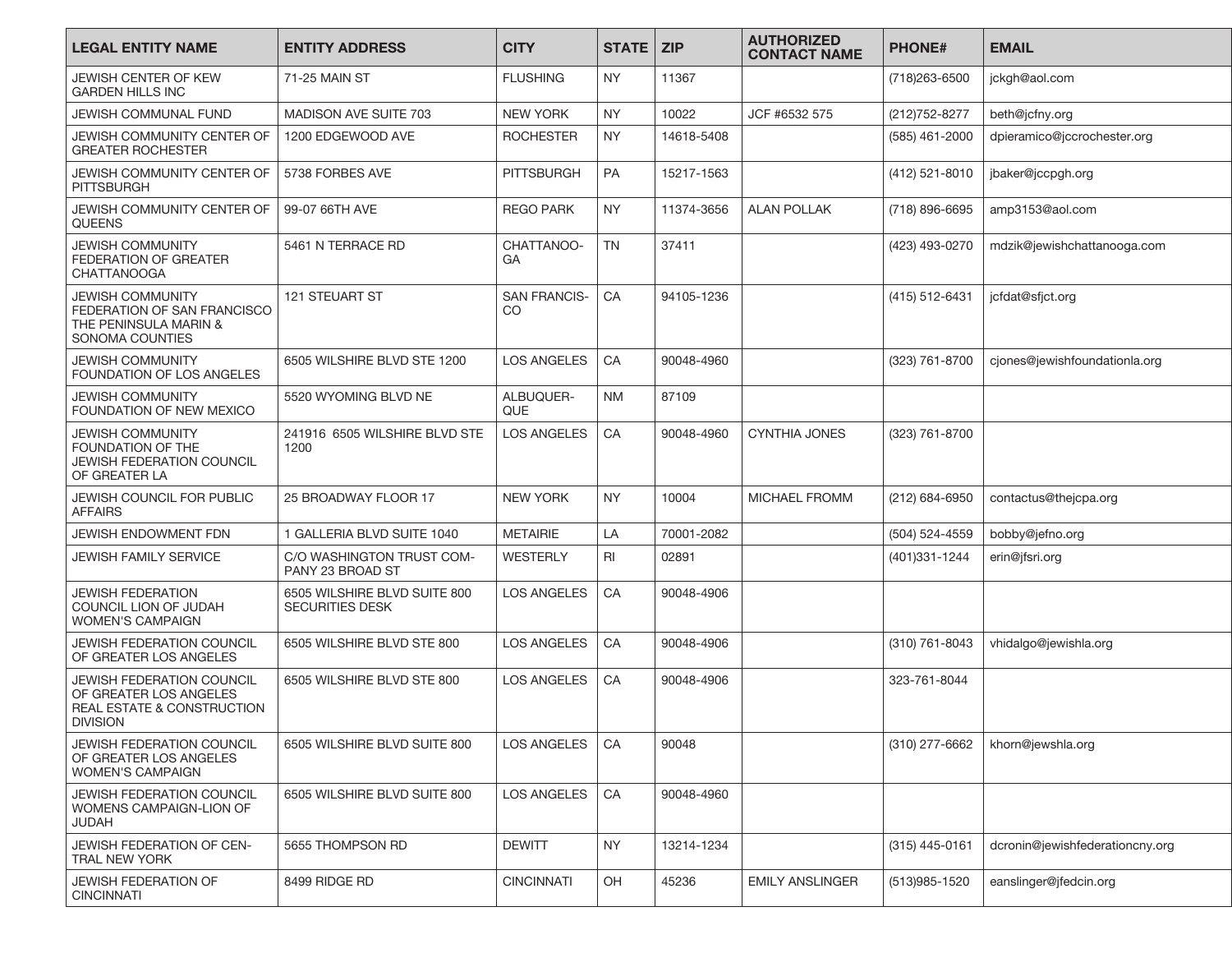| <b>LEGAL ENTITY NAME</b>                                                                             | <b>ENTITY ADDRESS</b>                                  | <b>CITY</b>               | <b>STATE</b> | <b>ZIP</b> | <b>AUTHORIZED</b><br><b>CONTACT NAME</b> | <b>PHONE#</b>  | <b>EMAIL</b>                    |
|------------------------------------------------------------------------------------------------------|--------------------------------------------------------|---------------------------|--------------|------------|------------------------------------------|----------------|---------------------------------|
| JEWISH CENTER OF KEW<br><b>GARDEN HILLS INC</b>                                                      | 71-25 MAIN ST                                          | <b>FLUSHING</b>           | <b>NY</b>    | 11367      |                                          | (718) 263-6500 | jckgh@aol.com                   |
| JEWISH COMMUNAL FUND                                                                                 | MADISON AVE SUITE 703                                  | <b>NEW YORK</b>           | <b>NY</b>    | 10022      | JCF #6532 575                            | (212) 752-8277 | beth@jcfny.org                  |
| JEWISH COMMUNITY CENTER OF<br><b>GREATER ROCHESTER</b>                                               | 1200 EDGEWOOD AVE                                      | <b>ROCHESTER</b>          | <b>NY</b>    | 14618-5408 |                                          | (585) 461-2000 | dpieramico@jccrochester.org     |
| JEWISH COMMUNITY CENTER OF<br><b>PITTSBURGH</b>                                                      | 5738 FORBES AVE                                        | <b>PITTSBURGH</b>         | <b>PA</b>    | 15217-1563 |                                          | (412) 521-8010 | jbaker@jccpgh.org               |
| JEWISH COMMUNITY CENTER OF<br><b>QUEENS</b>                                                          | 99-07 66TH AVE                                         | <b>REGO PARK</b>          | <b>NY</b>    | 11374-3656 | <b>ALAN POLLAK</b>                       | (718) 896-6695 | amp3153@aol.com                 |
| <b>JEWISH COMMUNITY</b><br>FEDERATION OF GREATER<br><b>CHATTANOOGA</b>                               | 5461 N TERRACE RD                                      | CHATTANOO-<br>GA          | <b>TN</b>    | 37411      |                                          | (423) 493-0270 | mdzik@jewishchattanooga.com     |
| <b>JEWISH COMMUNITY</b><br>FEDERATION OF SAN FRANCISCO<br>THE PENINSULA MARIN &<br>SONOMA COUNTIES   | 121 STEUART ST                                         | <b>SAN FRANCIS-</b><br>CO | CA           | 94105-1236 |                                          | (415) 512-6431 | jcfdat@sfjct.org                |
| <b>JEWISH COMMUNITY</b><br>FOUNDATION OF LOS ANGELES                                                 | 6505 WILSHIRE BLVD STE 1200                            | <b>LOS ANGELES</b>        | CA           | 90048-4960 |                                          | (323) 761-8700 | cjones@jewishfoundationla.org   |
| <b>JEWISH COMMUNITY</b><br>FOUNDATION OF NEW MEXICO                                                  | 5520 WYOMING BLVD NE                                   | ALBUQUER-<br><b>QUE</b>   | <b>NM</b>    | 87109      |                                          |                |                                 |
| <b>JEWISH COMMUNITY</b><br>FOUNDATION OF THE<br>JEWISH FEDERATION COUNCIL<br>OF GREATER LA           | 241916 6505 WILSHIRE BLVD STE<br>1200                  | <b>LOS ANGELES</b>        | CA           | 90048-4960 | <b>CYNTHIA JONES</b>                     | (323) 761-8700 |                                 |
| JEWISH COUNCIL FOR PUBLIC<br><b>AFFAIRS</b>                                                          | 25 BROADWAY FLOOR 17                                   | <b>NEW YORK</b>           | <b>NY</b>    | 10004      | MICHAEL FROMM                            | (212) 684-6950 | contactus@thejcpa.org           |
| JEWISH ENDOWMENT FDN                                                                                 | 1 GALLERIA BLVD SUITE 1040                             | <b>METAIRIE</b>           | LA           | 70001-2082 |                                          | (504) 524-4559 | bobby@jefno.org                 |
| JEWISH FAMILY SERVICE                                                                                | C/O WASHINGTON TRUST COM-<br>PANY 23 BROAD ST          | WESTERLY                  | RI           | 02891      |                                          | (401)331-1244  | erin@jfsri.org                  |
| <b>JEWISH FEDERATION</b><br>COUNCIL LION OF JUDAH<br><b>WOMEN'S CAMPAIGN</b>                         | 6505 WILSHIRE BLVD SUITE 800<br><b>SECURITIES DESK</b> | <b>LOS ANGELES</b>        | CA           | 90048-4906 |                                          |                |                                 |
| <b>JEWISH FEDERATION COUNCIL</b><br>OF GREATER LOS ANGELES                                           | 6505 WILSHIRE BLVD STE 800                             | <b>LOS ANGELES</b>        | CA           | 90048-4906 |                                          | (310) 761-8043 | vhidalgo@jewishla.org           |
| JEWISH FEDERATION COUNCIL<br>OF GREATER LOS ANGELES<br>REAL ESTATE & CONSTRUCTION<br><b>DIVISION</b> | 6505 WILSHIRE BLVD STE 800                             | <b>LOS ANGELES</b>        | CA           | 90048-4906 |                                          | 323-761-8044   |                                 |
| <b>JEWISH FEDERATION COUNCIL</b><br>OF GREATER LOS ANGELES<br><b>WOMEN'S CAMPAIGN</b>                | 6505 WILSHIRE BLVD SUITE 800                           | <b>LOS ANGELES</b>        | CA           | 90048      |                                          | (310) 277-6662 | khorn@jewshla.org               |
| JEWISH FEDERATION COUNCIL<br>WOMENS CAMPAIGN-LION OF<br>JUDAH                                        | 6505 WILSHIRE BLVD SUITE 800                           | LOS ANGELES               | CA           | 90048-4960 |                                          |                |                                 |
| JEWISH FEDERATION OF CEN-<br>TRAL NEW YORK                                                           | 5655 THOMPSON RD                                       | <b>DEWITT</b>             | NY           | 13214-1234 |                                          | (315) 445-0161 | dcronin@jewishfederationcny.org |
| <b>JEWISH FEDERATION OF</b><br><b>CINCINNATI</b>                                                     | 8499 RIDGE RD                                          | <b>CINCINNATI</b>         | OH           | 45236      | <b>EMILY ANSLINGER</b>                   | (513)985-1520  | eanslinger@jfedcin.org          |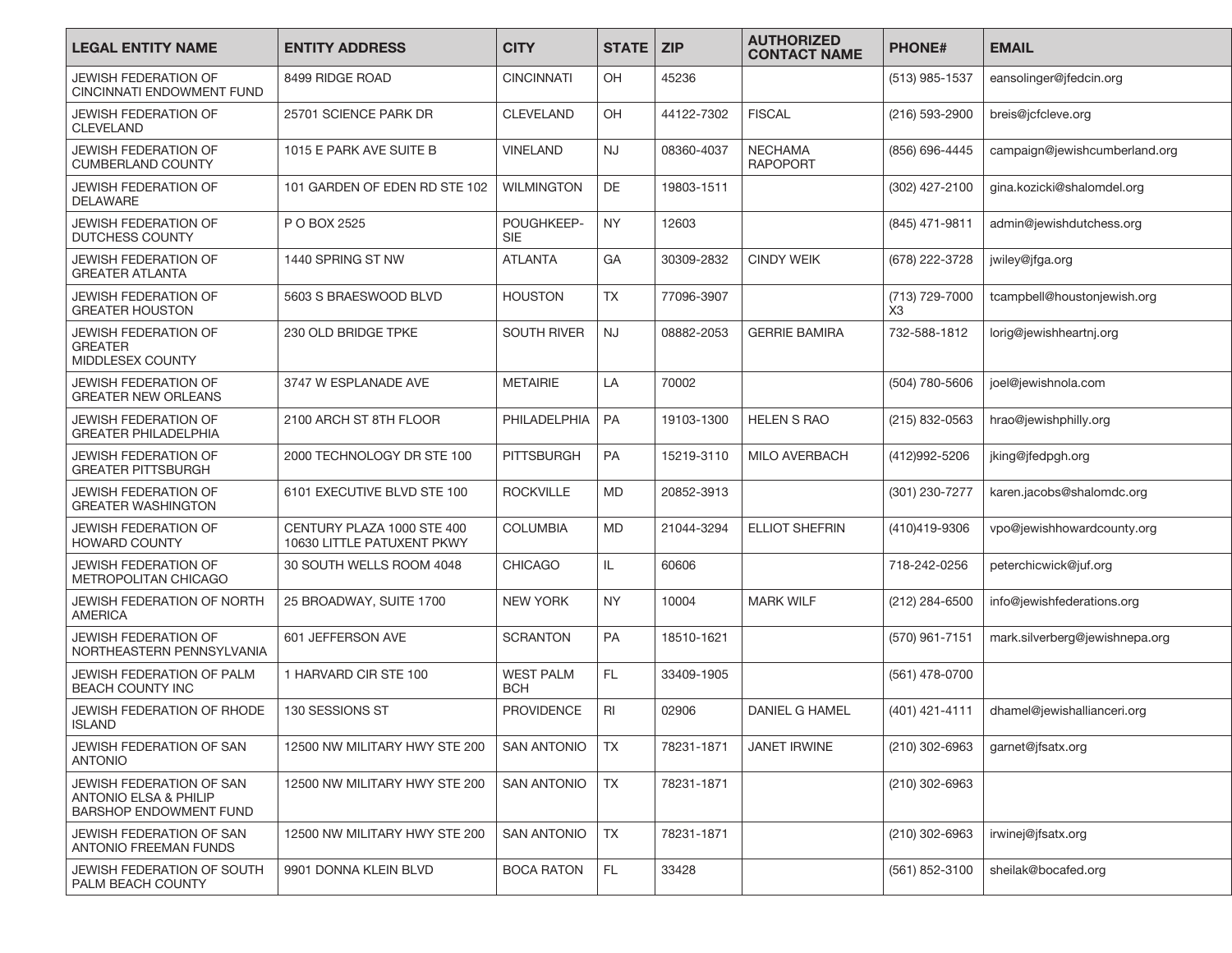| <b>LEGAL ENTITY NAME</b>                                                                      | <b>ENTITY ADDRESS</b>                                    | <b>CITY</b>                    | <b>STATE</b> | <b>ZIP</b> | <b>AUTHORIZED</b><br><b>CONTACT NAME</b> | <b>PHONE#</b>        | <b>EMAIL</b>                   |
|-----------------------------------------------------------------------------------------------|----------------------------------------------------------|--------------------------------|--------------|------------|------------------------------------------|----------------------|--------------------------------|
| <b>JEWISH FEDERATION OF</b><br><b>CINCINNATI ENDOWMENT FUND</b>                               | 8499 RIDGE ROAD                                          | <b>CINCINNATI</b>              | <b>OH</b>    | 45236      |                                          | (513) 985-1537       | eansolinger@jfedcin.org        |
| JEWISH FEDERATION OF<br><b>CLEVELAND</b>                                                      | 25701 SCIENCE PARK DR                                    | <b>CLEVELAND</b>               | OH           | 44122-7302 | <b>FISCAL</b>                            | (216) 593-2900       | breis@jcfcleve.org             |
| <b>JEWISH FEDERATION OF</b><br><b>CUMBERLAND COUNTY</b>                                       | 1015 E PARK AVE SUITE B                                  | <b>VINELAND</b>                | <b>NJ</b>    | 08360-4037 | <b>NECHAMA</b><br><b>RAPOPORT</b>        | (856) 696-4445       | campaign@jewishcumberland.org  |
| JEWISH FEDERATION OF<br><b>DELAWARE</b>                                                       | 101 GARDEN OF EDEN RD STE 102                            | <b>WILMINGTON</b>              | <b>DE</b>    | 19803-1511 |                                          | (302) 427-2100       | gina.kozicki@shalomdel.org     |
| <b>JEWISH FEDERATION OF</b><br><b>DUTCHESS COUNTY</b>                                         | P O BOX 2525                                             | POUGHKEEP-<br><b>SIE</b>       | <b>NY</b>    | 12603      |                                          | (845) 471-9811       | admin@jewishdutchess.org       |
| <b>JEWISH FEDERATION OF</b><br><b>GREATER ATLANTA</b>                                         | 1440 SPRING ST NW                                        | <b>ATLANTA</b>                 | GA           | 30309-2832 | <b>CINDY WEIK</b>                        | (678) 222-3728       | jwiley@jfga.org                |
| JEWISH FEDERATION OF<br><b>GREATER HOUSTON</b>                                                | 5603 S BRAESWOOD BLVD                                    | <b>HOUSTON</b>                 | <b>TX</b>    | 77096-3907 |                                          | (713) 729-7000<br>X3 | tcampbell@houstonjewish.org    |
| <b>JEWISH FEDERATION OF</b><br><b>GREATER</b><br><b>MIDDLESEX COUNTY</b>                      | 230 OLD BRIDGE TPKE                                      | <b>SOUTH RIVER</b>             | <b>NJ</b>    | 08882-2053 | <b>GERRIE BAMIRA</b>                     | 732-588-1812         | lorig@jewishheartnj.org        |
| <b>JEWISH FEDERATION OF</b><br><b>GREATER NEW ORLEANS</b>                                     | 3747 W ESPLANADE AVE                                     | <b>METAIRIE</b>                | LA           | 70002      |                                          | (504) 780-5606       | joel@jewishnola.com            |
| <b>JEWISH FEDERATION OF</b><br><b>GREATER PHILADELPHIA</b>                                    | 2100 ARCH ST 8TH FLOOR                                   | PHILADELPHIA                   | <b>PA</b>    | 19103-1300 | <b>HELEN S RAO</b>                       | (215) 832-0563       | hrao@jewishphilly.org          |
| JEWISH FEDERATION OF<br><b>GREATER PITTSBURGH</b>                                             | 2000 TECHNOLOGY DR STE 100                               | <b>PITTSBURGH</b>              | <b>PA</b>    | 15219-3110 | MILO AVERBACH                            | (412)992-5206        | jking@jfedpgh.org              |
| JEWISH FEDERATION OF<br><b>GREATER WASHINGTON</b>                                             | 6101 EXECUTIVE BLVD STE 100                              | <b>ROCKVILLE</b>               | <b>MD</b>    | 20852-3913 |                                          | (301) 230-7277       | karen.jacobs@shalomdc.org      |
| JEWISH FEDERATION OF<br><b>HOWARD COUNTY</b>                                                  | CENTURY PLAZA 1000 STE 400<br>10630 LITTLE PATUXENT PKWY | <b>COLUMBIA</b>                | <b>MD</b>    | 21044-3294 | <b>ELLIOT SHEFRIN</b>                    | (410)419-9306        | vpo@jewishhowardcounty.org     |
| <b>JEWISH FEDERATION OF</b><br><b>METROPOLITAN CHICAGO</b>                                    | 30 SOUTH WELLS ROOM 4048                                 | <b>CHICAGO</b>                 | IL.          | 60606      |                                          | 718-242-0256         | peterchicwick@juf.org          |
| <b>JEWISH FEDERATION OF NORTH</b><br><b>AMERICA</b>                                           | 25 BROADWAY, SUITE 1700                                  | <b>NEW YORK</b>                | <b>NY</b>    | 10004      | <b>MARK WILF</b>                         | (212) 284-6500       | info@jewishfederations.org     |
| <b>JEWISH FEDERATION OF</b><br>NORTHEASTERN PENNSYLVANIA                                      | 601 JEFFERSON AVE                                        | <b>SCRANTON</b>                | <b>PA</b>    | 18510-1621 |                                          | (570) 961-7151       | mark.silverberg@jewishnepa.org |
| JEWISH FEDERATION OF PALM<br><b>BEACH COUNTY INC</b>                                          | 1 HARVARD CIR STE 100                                    | <b>WEST PALM</b><br><b>BCH</b> | FL.          | 33409-1905 |                                          | (561) 478-0700       |                                |
| <b>JEWISH FEDERATION OF RHODE</b><br><b>ISLAND</b>                                            | 130 SESSIONS ST                                          | <b>PROVIDENCE</b>              | RI           | 02906      | <b>DANIEL G HAMEL</b>                    | (401) 421-4111       | dhamel@jewishallianceri.org    |
| JEWISH FEDERATION OF SAN<br><b>ANTONIO</b>                                                    | 12500 NW MILITARY HWY STE 200                            | <b>SAN ANTONIO</b>             | <b>TX</b>    | 78231-1871 | <b>JANET IRWINE</b>                      | (210) 302-6963       | qarnet@jfsatx.org              |
| JEWISH FEDERATION OF SAN<br><b>ANTONIO ELSA &amp; PHILIP</b><br><b>BARSHOP ENDOWMENT FUND</b> | 12500 NW MILITARY HWY STE 200                            | <b>SAN ANTONIO</b>             | <b>TX</b>    | 78231-1871 |                                          | (210) 302-6963       |                                |
| JEWISH FEDERATION OF SAN<br>ANTONIO FREEMAN FUNDS                                             | 12500 NW MILITARY HWY STE 200                            | <b>SAN ANTONIO</b>             | <b>TX</b>    | 78231-1871 |                                          | (210) 302-6963       | irwinej@jfsatx.org             |
| JEWISH FEDERATION OF SOUTH<br>PALM BEACH COUNTY                                               | 9901 DONNA KLEIN BLVD                                    | <b>BOCA RATON</b>              | FL.          | 33428      |                                          | (561) 852-3100       | sheilak@bocafed.org            |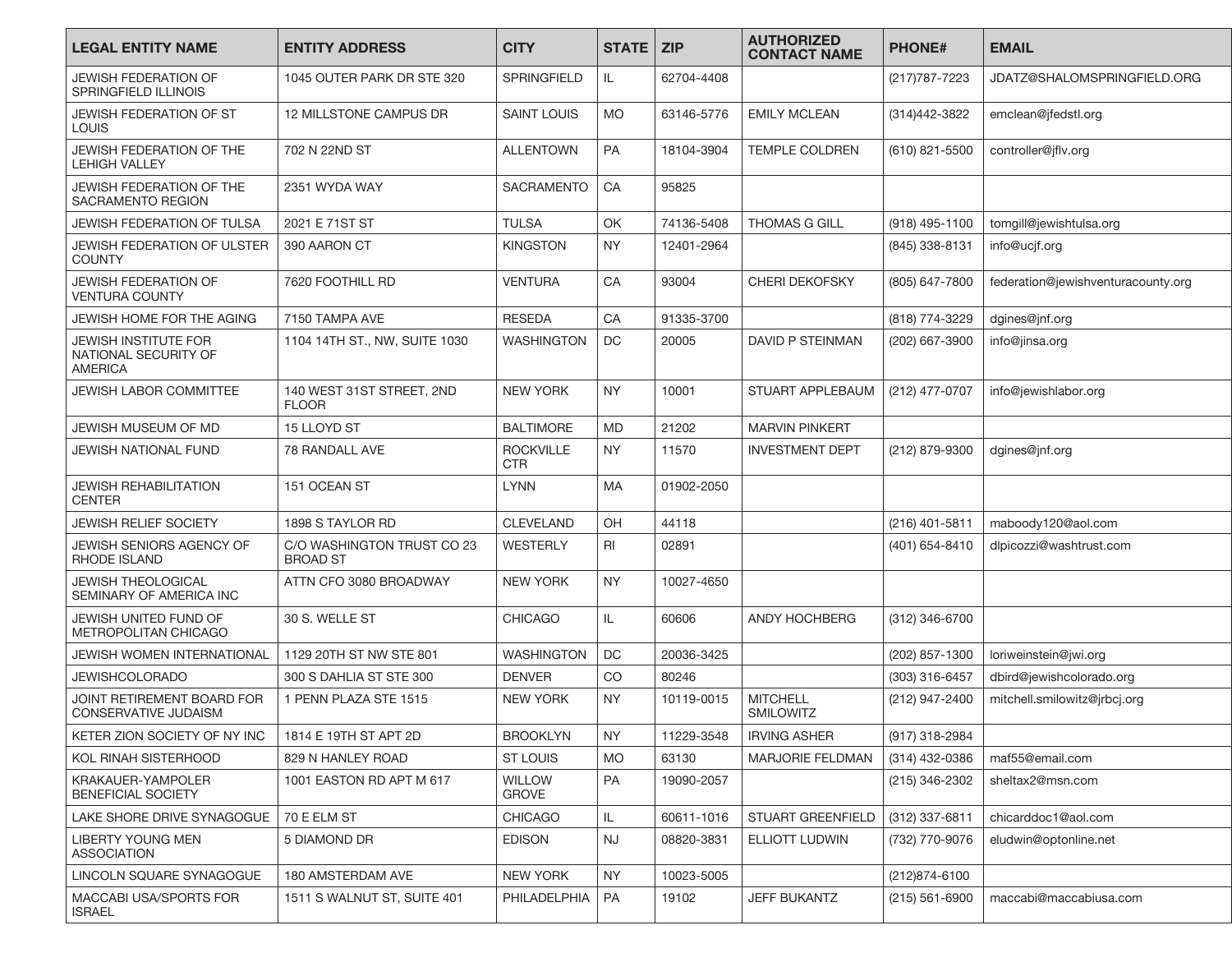| <b>LEGAL ENTITY NAME</b>                                              | <b>ENTITY ADDRESS</b>                         | <b>CITY</b>                    | <b>STATE</b> I | <b>ZIP</b> | <b>AUTHORIZED</b><br><b>CONTACT NAME</b> | <b>PHONE#</b>    | <b>EMAIL</b>                       |
|-----------------------------------------------------------------------|-----------------------------------------------|--------------------------------|----------------|------------|------------------------------------------|------------------|------------------------------------|
| <b>JEWISH FEDERATION OF</b><br><b>SPRINGFIELD ILLINOIS</b>            | 1045 OUTER PARK DR STE 320                    | <b>SPRINGFIELD</b>             | IL.            | 62704-4408 |                                          | (217) 787 - 7223 | JDATZ@SHALOMSPRINGFIELD.ORG        |
| <b>JEWISH FEDERATION OF ST</b><br><b>LOUIS</b>                        | 12 MILLSTONE CAMPUS DR                        | <b>SAINT LOUIS</b>             | <b>MO</b>      | 63146-5776 | <b>EMILY MCLEAN</b>                      | (314)442-3822    | emclean@jfedstl.org                |
| <b>JEWISH FEDERATION OF THE</b><br><b>LEHIGH VALLEY</b>               | 702 N 22ND ST                                 | <b>ALLENTOWN</b>               | <b>PA</b>      | 18104-3904 | <b>TEMPLE COLDREN</b>                    | (610) 821-5500   | controller@jflv.org                |
| JEWISH FEDERATION OF THE<br><b>SACRAMENTO REGION</b>                  | 2351 WYDA WAY                                 | <b>SACRAMENTO</b>              | CA             | 95825      |                                          |                  |                                    |
| JEWISH FEDERATION OF TULSA                                            | 2021 E 71ST ST                                | <b>TULSA</b>                   | OK             | 74136-5408 | <b>THOMAS G GILL</b>                     | (918) 495-1100   | tomgill@jewishtulsa.org            |
| <b>JEWISH FEDERATION OF ULSTER</b><br><b>COUNTY</b>                   | 390 AARON CT                                  | <b>KINGSTON</b>                | <b>NY</b>      | 12401-2964 |                                          | (845) 338-8131   | info@ucjf.org                      |
| JEWISH FEDERATION OF<br><b>VENTURA COUNTY</b>                         | 7620 FOOTHILL RD                              | <b>VENTURA</b>                 | CA             | 93004      | <b>CHERI DEKOFSKY</b>                    | (805) 647-7800   | federation@jewishventuracounty.org |
| JEWISH HOME FOR THE AGING                                             | 7150 TAMPA AVE                                | <b>RESEDA</b>                  | CA             | 91335-3700 |                                          | (818) 774-3229   | dgines@jnf.org                     |
| <b>JEWISH INSTITUTE FOR</b><br>NATIONAL SECURITY OF<br><b>AMERICA</b> | 1104 14TH ST., NW, SUITE 1030                 | <b>WASHINGTON</b>              | DC             | 20005      | DAVID P STEINMAN                         | (202) 667-3900   | info@jinsa.org                     |
| <b>JEWISH LABOR COMMITTEE</b>                                         | 140 WEST 31ST STREET, 2ND<br><b>FLOOR</b>     | <b>NEW YORK</b>                | <b>NY</b>      | 10001      | STUART APPLEBAUM                         | (212) 477-0707   | info@jewishlabor.org               |
| JEWISH MUSEUM OF MD                                                   | 15 LLOYD ST                                   | <b>BALTIMORE</b>               | <b>MD</b>      | 21202      | <b>MARVIN PINKERT</b>                    |                  |                                    |
| JEWISH NATIONAL FUND                                                  | 78 RANDALL AVE                                | <b>ROCKVILLE</b><br><b>CTR</b> | <b>NY</b>      | 11570      | <b>INVESTMENT DEPT</b>                   | (212) 879-9300   | dgines@jnf.org                     |
| <b>JEWISH REHABILITATION</b><br><b>CENTER</b>                         | 151 OCEAN ST                                  | <b>LYNN</b>                    | MA             | 01902-2050 |                                          |                  |                                    |
| JEWISH RELIEF SOCIETY                                                 | 1898 S TAYLOR RD                              | <b>CLEVELAND</b>               | OH             | 44118      |                                          | (216) 401-5811   | maboody120@aol.com                 |
| JEWISH SENIORS AGENCY OF<br><b>RHODE ISLAND</b>                       | C/O WASHINGTON TRUST CO 23<br><b>BROAD ST</b> | <b>WESTERLY</b>                | RI             | 02891      |                                          | (401) 654-8410   | dlpicozzi@washtrust.com            |
| <b>JEWISH THEOLOGICAL</b><br>SEMINARY OF AMERICA INC                  | ATTN CFO 3080 BROADWAY                        | <b>NEW YORK</b>                | <b>NY</b>      | 10027-4650 |                                          |                  |                                    |
| JEWISH UNITED FUND OF<br>METROPOLITAN CHICAGO                         | 30 S. WELLE ST                                | <b>CHICAGO</b>                 | IL.            | 60606      | ANDY HOCHBERG                            | (312) 346-6700   |                                    |
| <b>JEWISH WOMEN INTERNATIONAL</b>                                     | 1129 20TH ST NW STE 801                       | <b>WASHINGTON</b>              | DC             | 20036-3425 |                                          | (202) 857-1300   | loriweinstein@jwi.org              |
| <b>JEWISHCOLORADO</b>                                                 | 300 S DAHLIA ST STE 300                       | <b>DENVER</b>                  | CO             | 80246      |                                          | (303) 316-6457   | dbird@jewishcolorado.org           |
| JOINT RETIREMENT BOARD FOR<br>CONSERVATIVE JUDAISM                    | 1 PENN PLAZA STE 1515                         | <b>NEW YORK</b>                | <b>NY</b>      | 10119-0015 | <b>MITCHELL</b><br><b>SMILOWITZ</b>      | (212) 947-2400   | mitchell.smilowitz@jrbcj.org       |
| KETER ZION SOCIETY OF NY INC                                          | 1814 E 19TH ST APT 2D                         | <b>BROOKLYN</b>                | <b>NY</b>      | 11229-3548 | <b>IRVING ASHER</b>                      | (917) 318-2984   |                                    |
| KOL RINAH SISTERHOOD                                                  | 829 N HANLEY ROAD                             | ST LOUIS                       | <b>MO</b>      | 63130      | <b>MARJORIE FELDMAN</b>                  | (314) 432-0386   | maf55@email.com                    |
| KRAKAUER-YAMPOLER<br><b>BENEFICIAL SOCIETY</b>                        | 1001 EASTON RD APT M 617                      | <b>WILLOW</b><br><b>GROVE</b>  | PA             | 19090-2057 |                                          | (215) 346-2302   | sheltax2@msn.com                   |
| LAKE SHORE DRIVE SYNAGOGUE                                            | 70 E ELM ST                                   | <b>CHICAGO</b>                 | IL.            | 60611-1016 | STUART GREENFIELD                        | (312) 337-6811   | chicarddoc1@aol.com                |
| LIBERTY YOUNG MEN<br><b>ASSOCIATION</b>                               | <b>5 DIAMOND DR</b>                           | <b>EDISON</b>                  | <b>NJ</b>      | 08820-3831 | <b>ELLIOTT LUDWIN</b>                    | (732) 770-9076   | eludwin@optonline.net              |
| LINCOLN SQUARE SYNAGOGUE                                              | 180 AMSTERDAM AVE                             | NEW YORK                       | <b>NY</b>      | 10023-5005 |                                          | (212)874-6100    |                                    |
| MACCABI USA/SPORTS FOR<br><b>ISRAEL</b>                               | 1511 S WALNUT ST, SUITE 401                   | PHILADELPHIA                   | PA             | 19102      | <b>JEFF BUKANTZ</b>                      | $(215)$ 561-6900 | maccabi@maccabiusa.com             |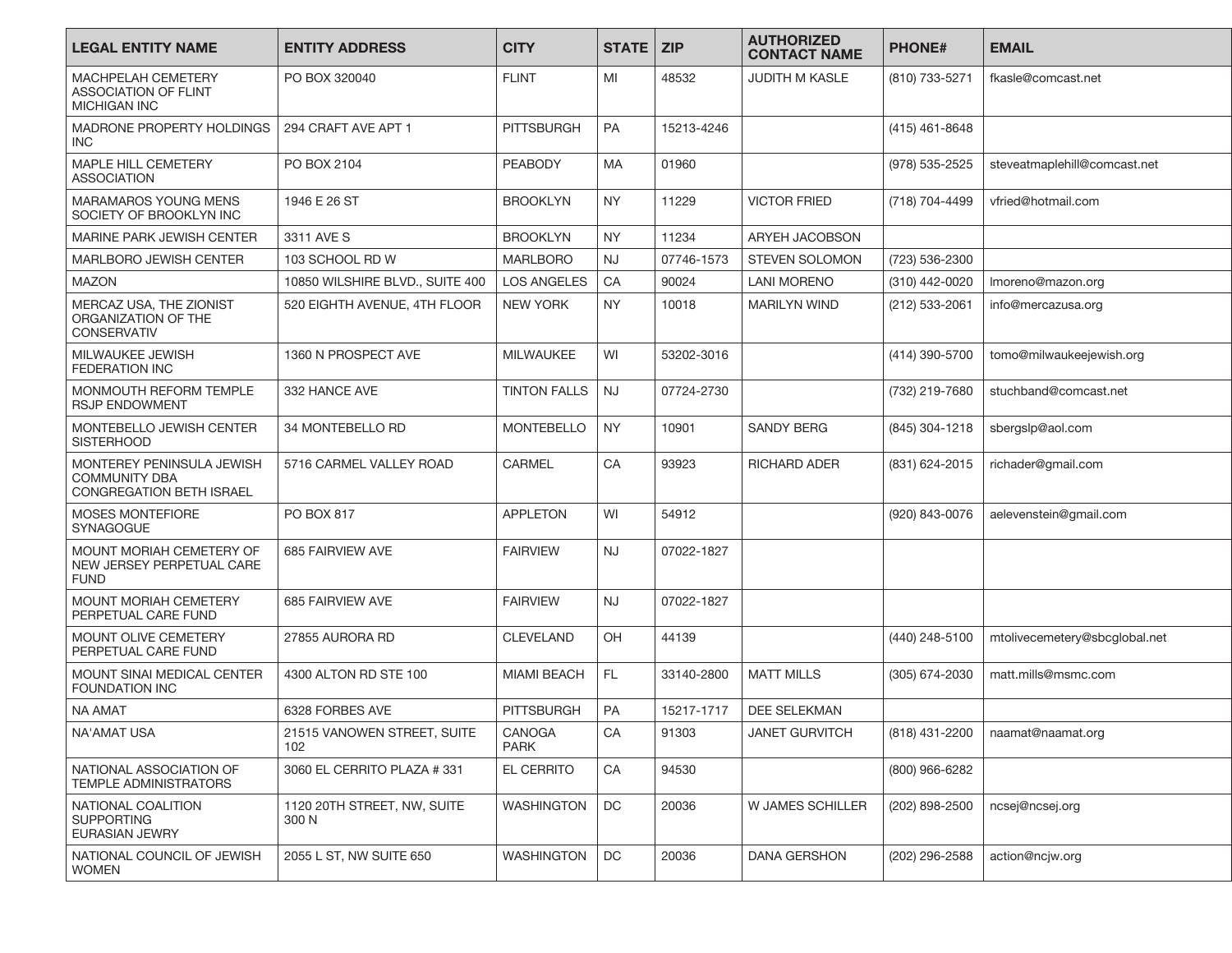| <b>LEGAL ENTITY NAME</b>                                                      | <b>ENTITY ADDRESS</b>                | <b>CITY</b>           | <b>STATE</b> | <b>ZIP</b> | <b>AUTHORIZED</b><br><b>CONTACT NAME</b> | <b>PHONE#</b>    | <b>EMAIL</b>                  |
|-------------------------------------------------------------------------------|--------------------------------------|-----------------------|--------------|------------|------------------------------------------|------------------|-------------------------------|
| MACHPELAH CEMETERY<br>ASSOCIATION OF FLINT<br>MICHIGAN INC                    | PO BOX 320040                        | <b>FLINT</b>          | MI           | 48532      | <b>JUDITH M KASLE</b>                    | (810) 733-5271   | fkasle@comcast.net            |
| MADRONE PROPERTY HOLDINGS<br><b>INC</b>                                       | 294 CRAFT AVE APT 1                  | <b>PITTSBURGH</b>     | <b>PA</b>    | 15213-4246 |                                          | $(415)$ 461-8648 |                               |
| MAPLE HILL CEMETERY<br><b>ASSOCIATION</b>                                     | PO BOX 2104                          | <b>PEABODY</b>        | <b>MA</b>    | 01960      |                                          | (978) 535-2525   | steveatmaplehill@comcast.net  |
| MARAMAROS YOUNG MENS<br>SOCIETY OF BROOKLYN INC                               | 1946 E 26 ST                         | <b>BROOKLYN</b>       | <b>NY</b>    | 11229      | <b>VICTOR FRIED</b>                      | (718) 704-4499   | vfried@hotmail.com            |
| MARINE PARK JEWISH CENTER                                                     | 3311 AVE S                           | <b>BROOKLYN</b>       | <b>NY</b>    | 11234      | <b>ARYEH JACOBSON</b>                    |                  |                               |
| MARLBORO JEWISH CENTER                                                        | 103 SCHOOL RD W                      | <b>MARLBORO</b>       | <b>NJ</b>    | 07746-1573 | STEVEN SOLOMON                           | (723) 536-2300   |                               |
| <b>MAZON</b>                                                                  | 10850 WILSHIRE BLVD., SUITE 400      | <b>LOS ANGELES</b>    | CA           | 90024      | <b>LANI MORENO</b>                       | (310) 442-0020   | Imoreno@mazon.org             |
| MERCAZ USA, THE ZIONIST<br>ORGANIZATION OF THE<br><b>CONSERVATIV</b>          | 520 EIGHTH AVENUE, 4TH FLOOR         | <b>NEW YORK</b>       | <b>NY</b>    | 10018      | <b>MARILYN WIND</b>                      | (212) 533-2061   | info@mercazusa.org            |
| MILWAUKEE JEWISH<br>FEDERATION INC                                            | 1360 N PROSPECT AVE                  | <b>MILWAUKEE</b>      | WI           | 53202-3016 |                                          | (414) 390-5700   | tomo@milwaukeejewish.org      |
| MONMOUTH REFORM TEMPLE<br><b>RSJP ENDOWMENT</b>                               | 332 HANCE AVE                        | <b>TINTON FALLS</b>   | <b>NJ</b>    | 07724-2730 |                                          | (732) 219-7680   | stuchband@comcast.net         |
| MONTEBELLO JEWISH CENTER<br><b>SISTERHOOD</b>                                 | 34 MONTEBELLO RD                     | <b>MONTEBELLO</b>     | <b>NY</b>    | 10901      | SANDY BERG                               | (845) 304-1218   | sbergslp@aol.com              |
| MONTEREY PENINSULA JEWISH<br><b>COMMUNITY DBA</b><br>CONGREGATION BETH ISRAEL | 5716 CARMEL VALLEY ROAD              | CARMEL                | CA           | 93923      | <b>RICHARD ADER</b>                      | (831) 624-2015   | richader@gmail.com            |
| <b>MOSES MONTEFIORE</b><br><b>SYNAGOGUE</b>                                   | <b>PO BOX 817</b>                    | <b>APPLETON</b>       | WI           | 54912      |                                          | (920) 843-0076   | aelevenstein@gmail.com        |
| MOUNT MORIAH CEMETERY OF<br>NEW JERSEY PERPETUAL CARE<br><b>FUND</b>          | 685 FAIRVIEW AVE                     | <b>FAIRVIEW</b>       | <b>NJ</b>    | 07022-1827 |                                          |                  |                               |
| MOUNT MORIAH CEMETERY<br>PERPETUAL CARE FUND                                  | 685 FAIRVIEW AVE                     | <b>FAIRVIEW</b>       | <b>NJ</b>    | 07022-1827 |                                          |                  |                               |
| MOUNT OLIVE CEMETERY<br>PERPETUAL CARE FUND                                   | 27855 AURORA RD                      | <b>CLEVELAND</b>      | OH           | 44139      |                                          | (440) 248-5100   | mtolivecemetery@sbcglobal.net |
| MOUNT SINAI MEDICAL CENTER<br><b>FOUNDATION INC</b>                           | 4300 ALTON RD STE 100                | <b>MIAMI BEACH</b>    | FL.          | 33140-2800 | <b>MATT MILLS</b>                        | (305) 674-2030   | matt.mills@msmc.com           |
| NA AMAT                                                                       | 6328 FORBES AVE                      | <b>PITTSBURGH</b>     | PA           | 15217-1717 | <b>DEE SELEKMAN</b>                      |                  |                               |
| NA'AMAT USA                                                                   | 21515 VANOWEN STREET, SUITE<br>102   | CANOGA<br><b>PARK</b> | CA           | 91303      | <b>JANET GURVITCH</b>                    | (818) 431-2200   | naamat@naamat.org             |
| NATIONAL ASSOCIATION OF<br>TEMPLE ADMINISTRATORS                              | 3060 EL CERRITO PLAZA #331           | <b>EL CERRITO</b>     | CA           | 94530      |                                          | (800) 966-6282   |                               |
| NATIONAL COALITION<br><b>SUPPORTING</b><br>EURASIAN JEWRY                     | 1120 20TH STREET, NW, SUITE<br>300 N | WASHINGTON            | DC           | 20036      | W JAMES SCHILLER                         | (202) 898-2500   | ncsej@ncsej.org               |
| NATIONAL COUNCIL OF JEWISH<br><b>WOMEN</b>                                    | 2055 L ST, NW SUITE 650              | WASHINGTON            | DC           | 20036      | DANA GERSHON                             | (202) 296-2588   | action@ncjw.org               |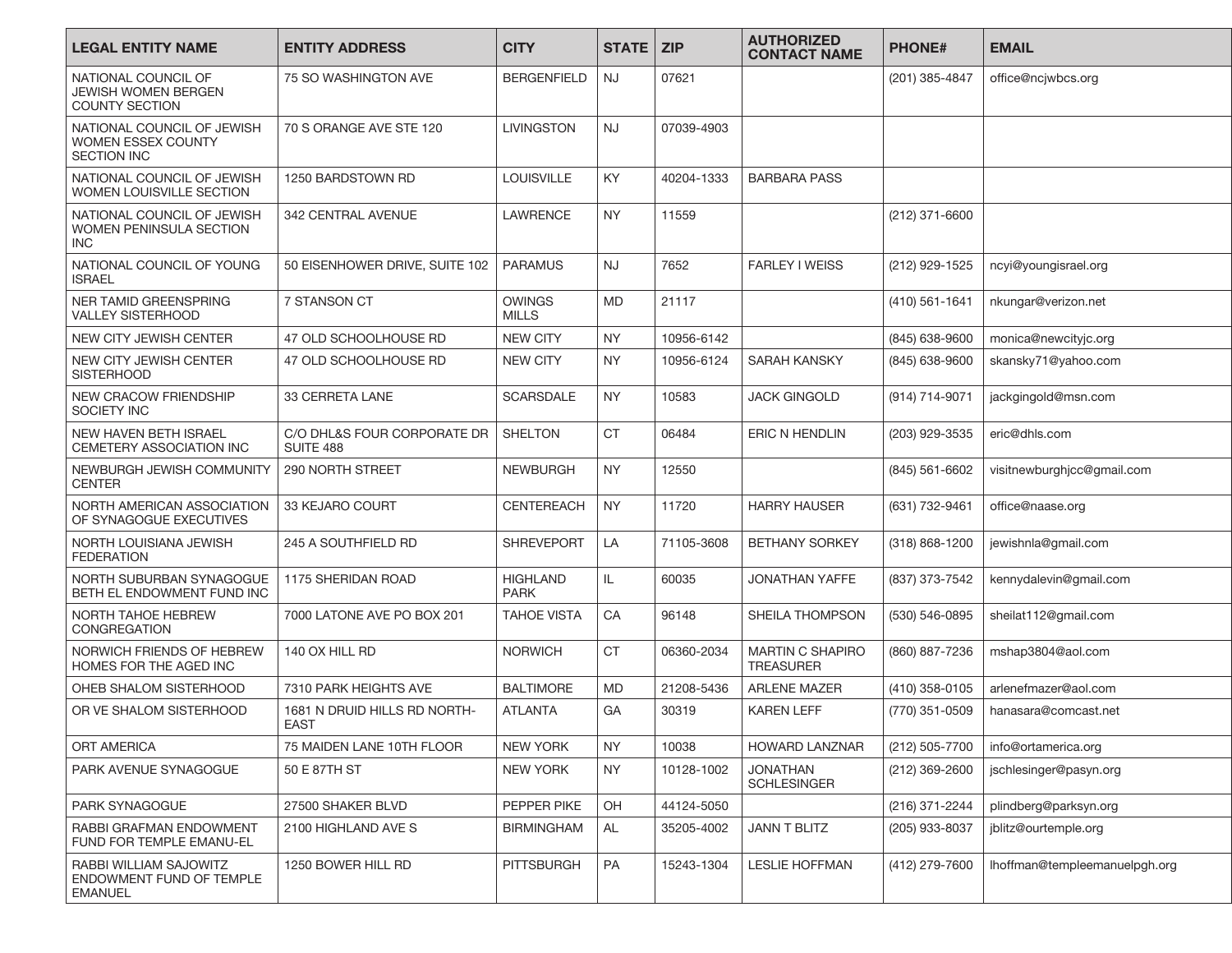| <b>LEGAL ENTITY NAME</b>                                                   | <b>ENTITY ADDRESS</b>                       | <b>CITY</b>                    | <b>STATE</b> | <b>ZIP</b> | <b>AUTHORIZED</b><br><b>CONTACT NAME</b>    | <b>PHONE#</b>      | <b>EMAIL</b>                  |
|----------------------------------------------------------------------------|---------------------------------------------|--------------------------------|--------------|------------|---------------------------------------------|--------------------|-------------------------------|
| NATIONAL COUNCIL OF<br><b>JEWISH WOMEN BERGEN</b><br><b>COUNTY SECTION</b> | 75 SO WASHINGTON AVE                        | <b>BERGENFIELD</b>             | <b>NJ</b>    | 07621      |                                             | (201) 385-4847     | office@ncjwbcs.org            |
| NATIONAL COUNCIL OF JEWISH<br>WOMEN ESSEX COUNTY<br><b>SECTION INC</b>     | 70 S ORANGE AVE STE 120                     | <b>LIVINGSTON</b>              | <b>NJ</b>    | 07039-4903 |                                             |                    |                               |
| NATIONAL COUNCIL OF JEWISH<br>WOMEN LOUISVILLE SECTION                     | 1250 BARDSTOWN RD                           | <b>LOUISVILLE</b>              | KY.          | 40204-1333 | <b>BARBARA PASS</b>                         |                    |                               |
| NATIONAL COUNCIL OF JEWISH<br>WOMEN PENINSULA SECTION<br><b>INC</b>        | 342 CENTRAL AVENUE                          | <b>LAWRENCE</b>                | <b>NY</b>    | 11559      |                                             | (212) 371-6600     |                               |
| NATIONAL COUNCIL OF YOUNG<br><b>ISRAEL</b>                                 | 50 EISENHOWER DRIVE, SUITE 102              | <b>PARAMUS</b>                 | <b>NJ</b>    | 7652       | <b>FARLEY I WEISS</b>                       | (212) 929-1525     | ncyi@youngisrael.org          |
| <b>NER TAMID GREENSPRING</b><br><b>VALLEY SISTERHOOD</b>                   | 7 STANSON CT                                | <b>OWINGS</b><br><b>MILLS</b>  | <b>MD</b>    | 21117      |                                             | $(410) 561 - 1641$ | nkungar@verizon.net           |
| NEW CITY JEWISH CENTER                                                     | 47 OLD SCHOOLHOUSE RD                       | <b>NEW CITY</b>                | <b>NY</b>    | 10956-6142 |                                             | (845) 638-9600     | monica@newcityjc.org          |
| NEW CITY JEWISH CENTER<br><b>SISTERHOOD</b>                                | 47 OLD SCHOOLHOUSE RD                       | <b>NEW CITY</b>                | <b>NY</b>    | 10956-6124 | SARAH KANSKY                                | (845) 638-9600     | skansky71@yahoo.com           |
| <b>NEW CRACOW FRIENDSHIP</b><br>SOCIETY INC                                | 33 CERRETA LANE                             | <b>SCARSDALE</b>               | <b>NY</b>    | 10583      | <b>JACK GINGOLD</b>                         | (914) 714-9071     | jackgingold@msn.com           |
| NEW HAVEN BETH ISRAEL<br><b>CEMETERY ASSOCIATION INC</b>                   | C/O DHL&S FOUR CORPORATE DR<br>SUITE 488    | <b>SHELTON</b>                 | <b>CT</b>    | 06484      | ERIC N HENDLIN                              | (203) 929-3535     | eric@dhls.com                 |
| NEWBURGH JEWISH COMMUNITY<br><b>CENTER</b>                                 | 290 NORTH STREET                            | <b>NEWBURGH</b>                | <b>NY</b>    | 12550      |                                             | (845) 561-6602     | visitnewburghjcc@gmail.com    |
| NORTH AMERICAN ASSOCIATION<br>OF SYNAGOGUE EXECUTIVES                      | 33 KEJARO COURT                             | <b>CENTEREACH</b>              | <b>NY</b>    | 11720      | <b>HARRY HAUSER</b>                         | (631) 732-9461     | office@naase.org              |
| NORTH LOUISIANA JEWISH<br><b>FEDERATION</b>                                | 245 A SOUTHFIELD RD                         | <b>SHREVEPORT</b>              | LA           | 71105-3608 | <b>BETHANY SORKEY</b>                       | (318) 868-1200     | jewishnla@gmail.com           |
| NORTH SUBURBAN SYNAGOGUE<br>BETH EL ENDOWMENT FUND INC                     | 1175 SHERIDAN ROAD                          | <b>HIGHLAND</b><br><b>PARK</b> | IL.          | 60035      | <b>JONATHAN YAFFE</b>                       | (837) 373-7542     | kennydalevin@gmail.com        |
| NORTH TAHOE HEBREW<br>CONGREGATION                                         | 7000 LATONE AVE PO BOX 201                  | <b>TAHOE VISTA</b>             | CA           | 96148      | SHEILA THOMPSON                             | (530) 546-0895     | sheilat112@gmail.com          |
| NORWICH FRIENDS OF HEBREW<br>HOMES FOR THE AGED INC                        | 140 OX HILL RD                              | <b>NORWICH</b>                 | <b>CT</b>    | 06360-2034 | <b>MARTIN C SHAPIRO</b><br><b>TREASURER</b> | (860) 887-7236     | mshap3804@aol.com             |
| OHEB SHALOM SISTERHOOD                                                     | 7310 PARK HEIGHTS AVE                       | <b>BALTIMORE</b>               | MD           | 21208-5436 | <b>ARLENE MAZER</b>                         | (410) 358-0105     | arlenefmazer@aol.com          |
| OR VE SHALOM SISTERHOOD                                                    | 1681 N DRUID HILLS RD NORTH-<br><b>EAST</b> | <b>ATLANTA</b>                 | GA           | 30319      | KAREN LEFF                                  | (770) 351-0509     | hanasara@comcast.net          |
| <b>ORT AMERICA</b>                                                         | 75 MAIDEN LANE 10TH FLOOR                   | <b>NEW YORK</b>                | <b>NY</b>    | 10038      | HOWARD LANZNAR                              | (212) 505-7700     | info@ortamerica.org           |
| PARK AVENUE SYNAGOGUE                                                      | 50 E 87TH ST                                | NEW YORK                       | <b>NY</b>    | 10128-1002 | <b>JONATHAN</b><br><b>SCHLESINGER</b>       | (212) 369-2600     | jschlesinger@pasyn.org        |
| PARK SYNAGOGUE                                                             | 27500 SHAKER BLVD                           | PEPPER PIKE                    | OH           | 44124-5050 |                                             | (216) 371-2244     | plindberg@parksyn.org         |
| RABBI GRAFMAN ENDOWMENT<br>FUND FOR TEMPLE EMANU-EL                        | 2100 HIGHLAND AVE S                         | <b>BIRMINGHAM</b>              | AL           | 35205-4002 | <b>JANN T BLITZ</b>                         | (205) 933-8037     | jblitz@ourtemple.org          |
| RABBI WILLIAM SAJOWITZ<br>ENDOWMENT FUND OF TEMPLE<br><b>EMANUEL</b>       | 1250 BOWER HILL RD                          | <b>PITTSBURGH</b>              | PA           | 15243-1304 | <b>LESLIE HOFFMAN</b>                       | (412) 279-7600     | lhoffman@templeemanuelpgh.org |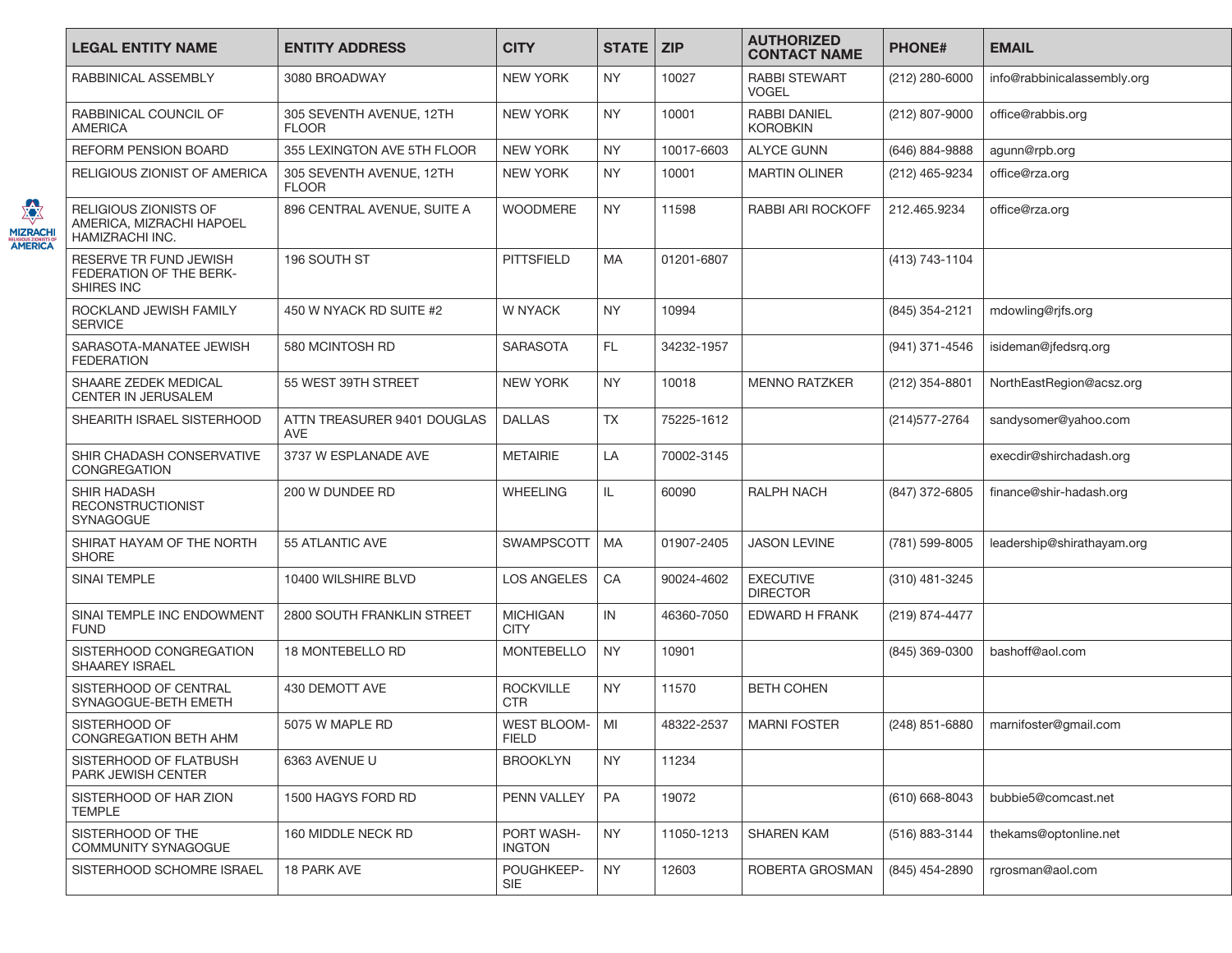|                                               | <b>LEGAL ENTITY NAME</b>                                             | <b>ENTITY ADDRESS</b>                     | <b>CITY</b>                      | <b>STATE</b> | <b>ZIP</b> | <b>AUTHORIZED</b><br><b>CONTACT NAME</b> | <b>PHONE#</b>  | <b>EMAIL</b>                |
|-----------------------------------------------|----------------------------------------------------------------------|-------------------------------------------|----------------------------------|--------------|------------|------------------------------------------|----------------|-----------------------------|
|                                               | RABBINICAL ASSEMBLY                                                  | 3080 BROADWAY                             | <b>NEW YORK</b>                  | <b>NY</b>    | 10027      | <b>RABBI STEWART</b><br><b>VOGEL</b>     | (212) 280-6000 | info@rabbinicalassembly.org |
|                                               | RABBINICAL COUNCIL OF<br><b>AMERICA</b>                              | 305 SEVENTH AVENUE, 12TH<br><b>FLOOR</b>  | <b>NEW YORK</b>                  | <b>NY</b>    | 10001      | <b>RABBI DANIEL</b><br><b>KOROBKIN</b>   | (212) 807-9000 | office@rabbis.org           |
|                                               | <b>REFORM PENSION BOARD</b>                                          | 355 LEXINGTON AVE 5TH FLOOR               | <b>NEW YORK</b>                  | <b>NY</b>    | 10017-6603 | <b>ALYCE GUNN</b>                        | (646) 884-9888 | agunn@rpb.org               |
|                                               | RELIGIOUS ZIONIST OF AMERICA                                         | 305 SEVENTH AVENUE, 12TH<br><b>FLOOR</b>  | NEW YORK                         | NY.          | 10001      | <b>MARTIN OLINER</b>                     | (212) 465-9234 | office@rza.org              |
| XX<br><b>MIZRACHI</b><br>RELIGIOUS ZIONISTS O | RELIGIOUS ZIONISTS OF<br>AMERICA, MIZRACHI HAPOEL<br>HAMIZRACHI INC. | 896 CENTRAL AVENUE, SUITE A               | <b>WOODMERE</b>                  | <b>NY</b>    | 11598      | <b>RABBI ARI ROCKOFF</b>                 | 212.465.9234   | office@rza.org              |
|                                               | RESERVE TR FUND JEWISH<br>FEDERATION OF THE BERK-<br>SHIRES INC      | 196 SOUTH ST                              | <b>PITTSFIELD</b>                | MA           | 01201-6807 |                                          | (413) 743-1104 |                             |
|                                               | ROCKLAND JEWISH FAMILY<br><b>SERVICE</b>                             | 450 W NYACK RD SUITE #2                   | <b>W NYACK</b>                   | <b>NY</b>    | 10994      |                                          | (845) 354-2121 | mdowling@rjfs.org           |
|                                               | SARASOTA-MANATEE JEWISH<br><b>FEDERATION</b>                         | 580 MCINTOSH RD                           | <b>SARASOTA</b>                  | FL.          | 34232-1957 |                                          | (941) 371-4546 | isideman@jfedsrq.org        |
|                                               | SHAARE ZEDEK MEDICAL<br>CENTER IN JERUSALEM                          | 55 WEST 39TH STREET                       | <b>NEW YORK</b>                  | <b>NY</b>    | 10018      | <b>MENNO RATZKER</b>                     | (212) 354-8801 | NorthEastRegion@acsz.org    |
|                                               | SHEARITH ISRAEL SISTERHOOD                                           | ATTN TREASURER 9401 DOUGLAS<br><b>AVE</b> | <b>DALLAS</b>                    | <b>TX</b>    | 75225-1612 |                                          | (214) 577-2764 | sandysomer@yahoo.com        |
|                                               | SHIR CHADASH CONSERVATIVE<br>CONGREGATION                            | 3737 W ESPLANADE AVE                      | <b>METAIRIE</b>                  | LA           | 70002-3145 |                                          |                | execdir@shirchadash.org     |
|                                               | <b>SHIR HADASH</b><br><b>RECONSTRUCTIONIST</b><br>SYNAGOGUE          | 200 W DUNDEE RD                           | <b>WHEELING</b>                  | IL.          | 60090      | RALPH NACH                               | (847) 372-6805 | finance@shir-hadash.org     |
|                                               | SHIRAT HAYAM OF THE NORTH<br><b>SHORE</b>                            | 55 ATLANTIC AVE                           | SWAMPSCOTT                       | <b>MA</b>    | 01907-2405 | <b>JASON LEVINE</b>                      | (781) 599-8005 | leadership@shirathayam.org  |
|                                               | SINAI TEMPLE                                                         | 10400 WILSHIRE BLVD                       | <b>LOS ANGELES</b>               | CA           | 90024-4602 | <b>EXECUTIVE</b><br><b>DIRECTOR</b>      | (310) 481-3245 |                             |
|                                               | SINAI TEMPLE INC ENDOWMENT<br><b>FUND</b>                            | 2800 SOUTH FRANKLIN STREET                | <b>MICHIGAN</b><br><b>CITY</b>   | IN           | 46360-7050 | EDWARD H FRANK                           | (219) 874-4477 |                             |
|                                               | SISTERHOOD CONGREGATION<br><b>SHAAREY ISRAEL</b>                     | 18 MONTEBELLO RD                          | <b>MONTEBELLO</b>                | <b>NY</b>    | 10901      |                                          | (845) 369-0300 | bashoff@aol.com             |
|                                               | SISTERHOOD OF CENTRAL<br>SYNAGOGUE-BETH EMETH                        | 430 DEMOTT AVE                            | <b>ROCKVILLE</b><br><b>CTR</b>   | NY.          | 11570      | <b>BETH COHEN</b>                        |                |                             |
|                                               | SISTERHOOD OF<br>CONGREGATION BETH AHM                               | 5075 W MAPLE RD                           | WEST BLOOM-   MI<br><b>FIELD</b> |              | 48322-2537 | <b>MARNI FOSTER</b>                      | (248) 851-6880 | marnifoster@gmail.com       |
|                                               | SISTERHOOD OF FLATBUSH<br>PARK JEWISH CENTER                         | 6363 AVENUE U                             | <b>BROOKLYN</b>                  | <b>NY</b>    | 11234      |                                          |                |                             |
|                                               | SISTERHOOD OF HAR ZION<br><b>TEMPLE</b>                              | 1500 HAGYS FORD RD                        | PENN VALLEY                      | PA           | 19072      |                                          | (610) 668-8043 | bubbie5@comcast.net         |
|                                               | SISTERHOOD OF THE<br>COMMUNITY SYNAGOGUE                             | 160 MIDDLE NECK RD                        | PORT WASH-<br><b>INGTON</b>      | <b>NY</b>    | 11050-1213 | SHAREN KAM                               | (516) 883-3144 | thekams@optonline.net       |
|                                               | SISTERHOOD SCHOMRE ISRAEL                                            | 18 PARK AVE                               | POUGHKEEP-<br><b>SIE</b>         | <b>NY</b>    | 12603      | ROBERTA GROSMAN                          | (845) 454-2890 | rgrosman@aol.com            |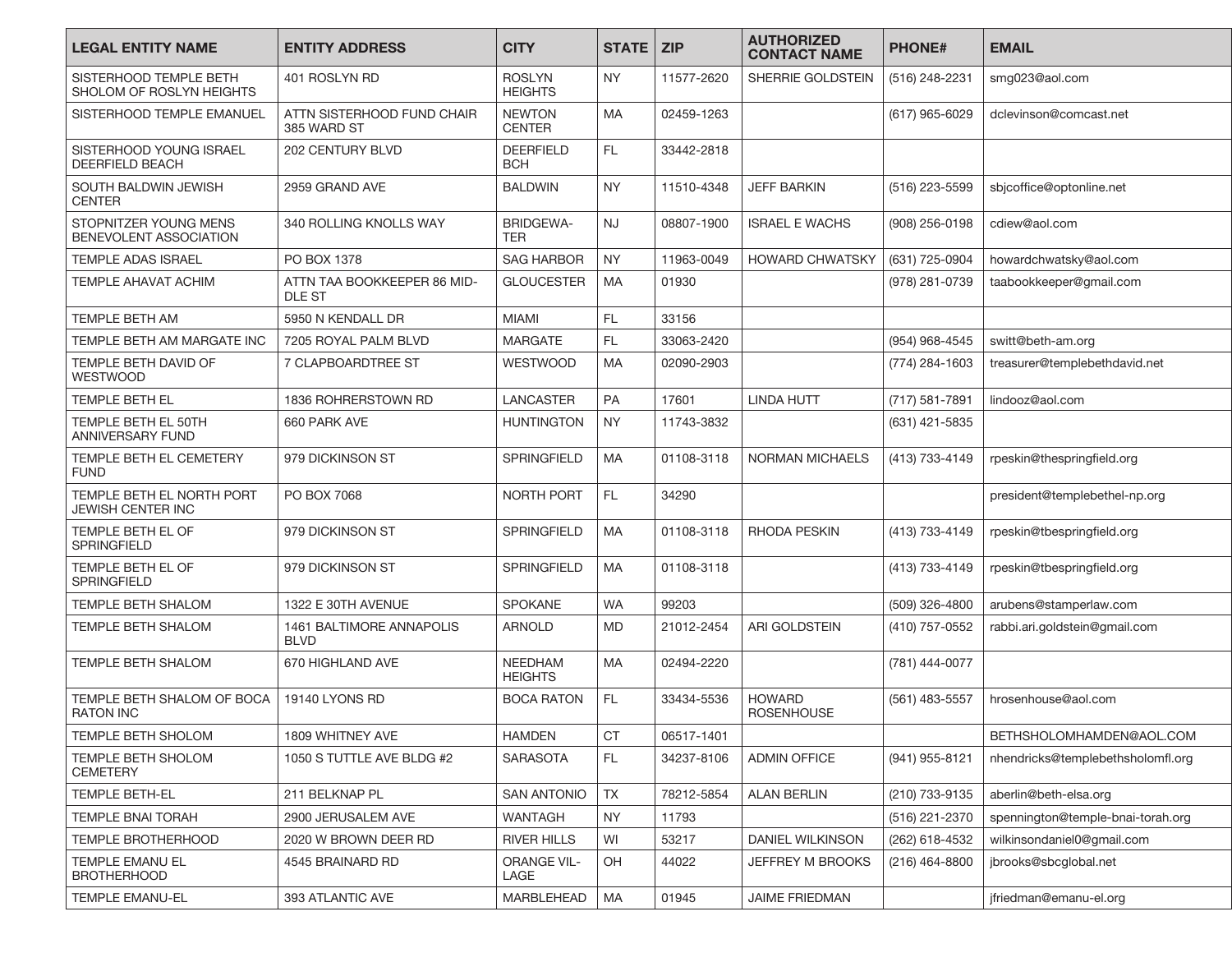| <b>LEGAL ENTITY NAME</b>                              | <b>ENTITY ADDRESS</b>                        | <b>CITY</b>                      | <b>STATE</b> | <b>ZIP</b> | <b>AUTHORIZED</b><br><b>CONTACT NAME</b> | <b>PHONE#</b>  | <b>EMAIL</b>                      |
|-------------------------------------------------------|----------------------------------------------|----------------------------------|--------------|------------|------------------------------------------|----------------|-----------------------------------|
| SISTERHOOD TEMPLE BETH<br>SHOLOM OF ROSLYN HEIGHTS    | 401 ROSLYN RD                                | <b>ROSLYN</b><br><b>HEIGHTS</b>  | <b>NY</b>    | 11577-2620 | SHERRIE GOLDSTEIN                        | (516) 248-2231 | smg023@aol.com                    |
| SISTERHOOD TEMPLE EMANUEL                             | ATTN SISTERHOOD FUND CHAIR<br>385 WARD ST    | <b>NEWTON</b><br><b>CENTER</b>   | <b>MA</b>    | 02459-1263 |                                          | (617) 965-6029 | dclevinson@comcast.net            |
| SISTERHOOD YOUNG ISRAEL<br><b>DEERFIELD BEACH</b>     | 202 CENTURY BLVD                             | <b>DEERFIELD</b><br><b>BCH</b>   | FL.          | 33442-2818 |                                          |                |                                   |
| SOUTH BALDWIN JEWISH<br><b>CENTER</b>                 | 2959 GRAND AVE                               | <b>BALDWIN</b>                   | <b>NY</b>    | 11510-4348 | <b>JEFF BARKIN</b>                       | (516) 223-5599 | sbjcoffice@optonline.net          |
| STOPNITZER YOUNG MENS<br>BENEVOLENT ASSOCIATION       | 340 ROLLING KNOLLS WAY                       | <b>BRIDGEWA-</b><br><b>TER</b>   | <b>NJ</b>    | 08807-1900 | <b>ISRAEL E WACHS</b>                    | (908) 256-0198 | cdiew@aol.com                     |
| <b>TEMPLE ADAS ISRAEL</b>                             | PO BOX 1378                                  | <b>SAG HARBOR</b>                | <b>NY</b>    | 11963-0049 | <b>HOWARD CHWATSKY</b>                   | (631) 725-0904 | howardchwatsky@aol.com            |
| TEMPLE AHAVAT ACHIM                                   | ATTN TAA BOOKKEEPER 86 MID-<br><b>DLE ST</b> | <b>GLOUCESTER</b>                | <b>MA</b>    | 01930      |                                          | (978) 281-0739 | taabookkeeper@gmail.com           |
| TEMPLE BETH AM                                        | 5950 N KENDALL DR                            | <b>MIAMI</b>                     | FL           | 33156      |                                          |                |                                   |
| TEMPLE BETH AM MARGATE INC                            | 7205 ROYAL PALM BLVD                         | <b>MARGATE</b>                   | FL.          | 33063-2420 |                                          | (954) 968-4545 | switt@beth-am.org                 |
| TEMPLE BETH DAVID OF<br><b>WESTWOOD</b>               | <b>7 CLAPBOARDTREE ST</b>                    | <b>WESTWOOD</b>                  | <b>MA</b>    | 02090-2903 |                                          | (774) 284-1603 | treasurer@templebethdavid.net     |
| TEMPLE BETH EL                                        | 1836 ROHRERSTOWN RD                          | LANCASTER                        | <b>PA</b>    | 17601      | <b>LINDA HUTT</b>                        | (717) 581-7891 | lindooz@aol.com                   |
| TEMPLE BETH EL 50TH<br><b>ANNIVERSARY FUND</b>        | 660 PARK AVE                                 | <b>HUNTINGTON</b>                | <b>NY</b>    | 11743-3832 |                                          | (631) 421-5835 |                                   |
| TEMPLE BETH EL CEMETERY<br><b>FUND</b>                | 979 DICKINSON ST                             | <b>SPRINGFIELD</b>               | MA           | 01108-3118 | NORMAN MICHAELS                          | (413) 733-4149 | rpeskin@thespringfield.org        |
| TEMPLE BETH EL NORTH PORT<br><b>JEWISH CENTER INC</b> | PO BOX 7068                                  | <b>NORTH PORT</b>                | FL.          | 34290      |                                          |                | president@templebethel-np.org     |
| TEMPLE BETH EL OF<br><b>SPRINGFIELD</b>               | 979 DICKINSON ST                             | <b>SPRINGFIELD</b>               | <b>MA</b>    | 01108-3118 | <b>RHODA PESKIN</b>                      | (413) 733-4149 | rpeskin@tbespringfield.org        |
| TEMPLE BETH EL OF<br><b>SPRINGFIELD</b>               | 979 DICKINSON ST                             | <b>SPRINGFIELD</b>               | MA           | 01108-3118 |                                          | (413) 733-4149 | rpeskin@tbespringfield.org        |
| <b>TEMPLE BETH SHALOM</b>                             | 1322 E 30TH AVENUE                           | <b>SPOKANE</b>                   | <b>WA</b>    | 99203      |                                          | (509) 326-4800 | arubens@stamperlaw.com            |
| <b>TEMPLE BETH SHALOM</b>                             | 1461 BALTIMORE ANNAPOLIS<br><b>BLVD</b>      | <b>ARNOLD</b>                    | <b>MD</b>    | 21012-2454 | ARI GOLDSTEIN                            | (410) 757-0552 | rabbi.ari.goldstein@gmail.com     |
| TEMPLE BETH SHALOM                                    | 670 HIGHLAND AVE                             | <b>NEEDHAM</b><br><b>HEIGHTS</b> | <b>MA</b>    | 02494-2220 |                                          | (781) 444-0077 |                                   |
| TEMPLE BETH SHALOM OF BOCA<br><b>RATON INC</b>        | 19140 LYONS RD                               | <b>BOCA RATON</b>                | FL.          | 33434-5536 | <b>HOWARD</b><br><b>ROSENHOUSE</b>       | (561) 483-5557 | hrosenhouse@aol.com               |
| TEMPLE BETH SHOLOM                                    | 1809 WHITNEY AVE                             | <b>HAMDEN</b>                    | CT           | 06517-1401 |                                          |                | BETHSHOLOMHAMDEN@AOL.COM          |
| TEMPLE BETH SHOLOM<br><b>CEMETERY</b>                 | 1050 S TUTTLE AVE BLDG #2                    | <b>SARASOTA</b>                  | FL.          | 34237-8106 | <b>ADMIN OFFICE</b>                      | (941) 955-8121 | nhendricks@templebethsholomfl.org |
| TEMPLE BETH-EL                                        | 211 BELKNAP PL                               | <b>SAN ANTONIO</b>               | TX           | 78212-5854 | <b>ALAN BERLIN</b>                       | (210) 733-9135 | aberlin@beth-elsa.org             |
| <b>TEMPLE BNAI TORAH</b>                              | 2900 JERUSALEM AVE                           | <b>WANTAGH</b>                   | NY.          | 11793      |                                          | (516) 221-2370 | spennington@temple-bnai-torah.org |
| <b>TEMPLE BROTHERHOOD</b>                             | 2020 W BROWN DEER RD                         | <b>RIVER HILLS</b>               | WI           | 53217      | DANIEL WILKINSON                         | (262) 618-4532 | wilkinsondaniel0@gmail.com        |
| TEMPLE EMANU EL<br><b>BROTHERHOOD</b>                 | 4545 BRAINARD RD                             | <b>ORANGE VIL-</b><br>LAGE       | OH           | 44022      | JEFFREY M BROOKS                         | (216) 464-8800 | jbrooks@sbcglobal.net             |
| <b>TEMPLE EMANU-EL</b>                                | 393 ATLANTIC AVE                             | <b>MARBLEHEAD</b>                | <b>MA</b>    | 01945      | JAIME FRIEDMAN                           |                | jfriedman@emanu-el.org            |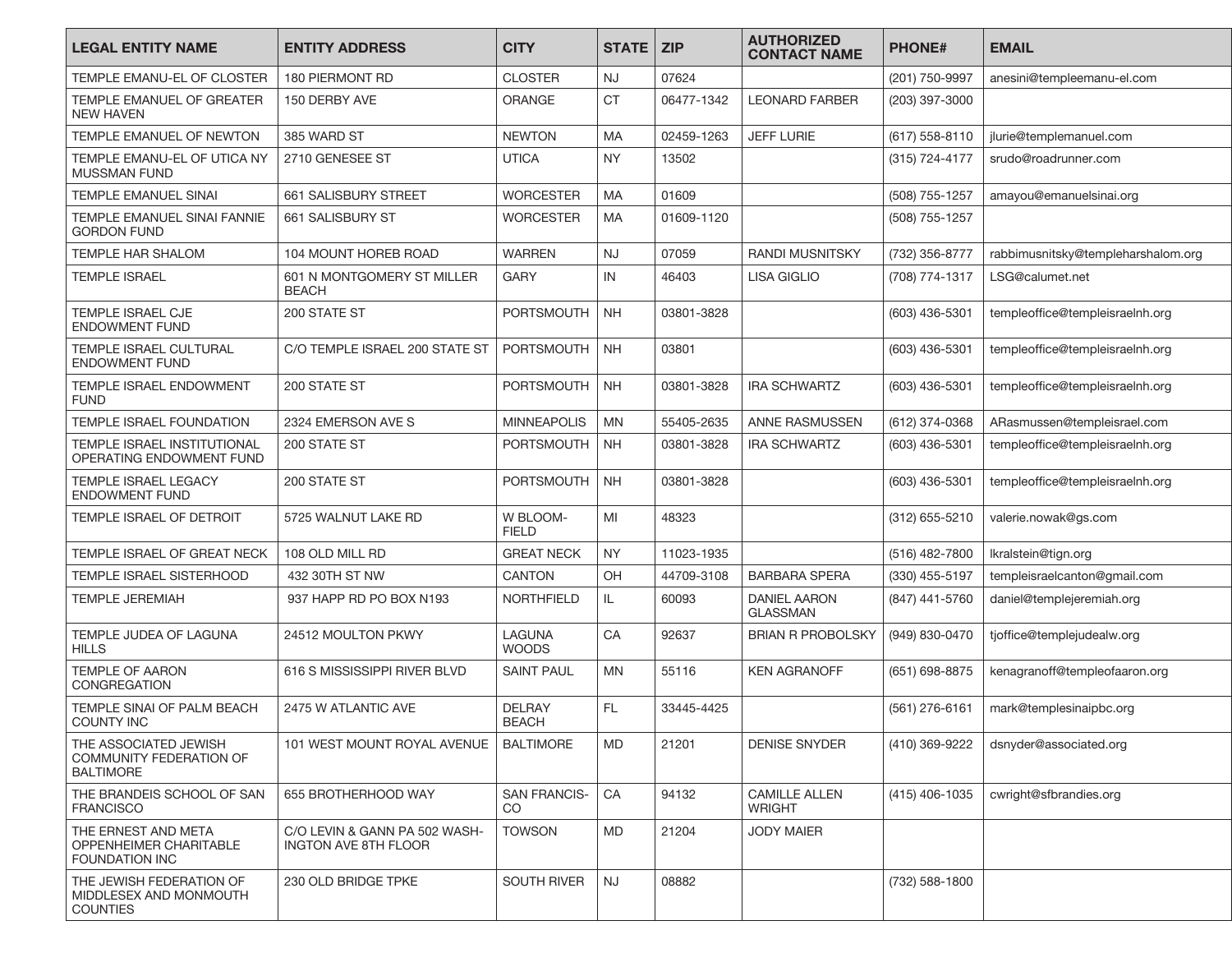| <b>LEGAL ENTITY NAME</b>                                                      | <b>ENTITY ADDRESS</b>                                        | <b>CITY</b>                   | <b>STATE</b> | <b>ZIP</b> | <b>AUTHORIZED</b><br><b>CONTACT NAME</b> | <b>PHONE#</b>  | <b>EMAIL</b>                       |
|-------------------------------------------------------------------------------|--------------------------------------------------------------|-------------------------------|--------------|------------|------------------------------------------|----------------|------------------------------------|
| TEMPLE EMANU-EL OF CLOSTER                                                    | 180 PIERMONT RD                                              | <b>CLOSTER</b>                | <b>NJ</b>    | 07624      |                                          | (201) 750-9997 | anesini@templeemanu-el.com         |
| TEMPLE EMANUEL OF GREATER<br><b>NEW HAVEN</b>                                 | 150 DERBY AVE                                                | <b>ORANGE</b>                 | <b>CT</b>    | 06477-1342 | <b>LEONARD FARBER</b>                    | (203) 397-3000 |                                    |
| TEMPLE EMANUEL OF NEWTON                                                      | 385 WARD ST                                                  | <b>NEWTON</b>                 | <b>MA</b>    | 02459-1263 | <b>JEFF LURIE</b>                        | (617) 558-8110 | jlurie@templemanuel.com            |
| TEMPLE EMANU-EL OF UTICA NY<br><b>MUSSMAN FUND</b>                            | 2710 GENESEE ST                                              | <b>UTICA</b>                  | <b>NY</b>    | 13502      |                                          | (315) 724-4177 | srudo@roadrunner.com               |
| <b>TEMPLE EMANUEL SINAI</b>                                                   | 661 SALISBURY STREET                                         | <b>WORCESTER</b>              | MA           | 01609      |                                          | (508) 755-1257 | amayou@emanuelsinai.org            |
| TEMPLE EMANUEL SINAI FANNIE<br><b>GORDON FUND</b>                             | 661 SALISBURY ST                                             | <b>WORCESTER</b>              | MA           | 01609-1120 |                                          | (508) 755-1257 |                                    |
| <b>TEMPLE HAR SHALOM</b>                                                      | 104 MOUNT HOREB ROAD                                         | <b>WARREN</b>                 | <b>NJ</b>    | 07059      | <b>RANDI MUSNITSKY</b>                   | (732) 356-8777 | rabbimusnitsky@templeharshalom.org |
| <b>TEMPLE ISRAEL</b>                                                          | 601 N MONTGOMERY ST MILLER<br><b>BEACH</b>                   | <b>GARY</b>                   | IN           | 46403      | <b>LISA GIGLIO</b>                       | (708) 774-1317 | LSG@calumet.net                    |
| TEMPLE ISRAEL CJE<br><b>ENDOWMENT FUND</b>                                    | 200 STATE ST                                                 | PORTSMOUTH                    | <b>NH</b>    | 03801-3828 |                                          | (603) 436-5301 | templeoffice@templeisraelnh.org    |
| TEMPLE ISRAEL CULTURAL<br><b>ENDOWMENT FUND</b>                               | C/O TEMPLE ISRAEL 200 STATE ST                               | PORTSMOUTH                    | <b>NH</b>    | 03801      |                                          | (603) 436-5301 | templeoffice@templeisraelnh.org    |
| <b>TEMPLE ISRAEL ENDOWMENT</b><br><b>FUND</b>                                 | 200 STATE ST                                                 | <b>PORTSMOUTH</b>             | <b>NH</b>    | 03801-3828 | <b>IRA SCHWARTZ</b>                      | (603) 436-5301 | templeoffice@templeisraelnh.org    |
| TEMPLE ISRAEL FOUNDATION                                                      | 2324 EMERSON AVE S                                           | <b>MINNEAPOLIS</b>            | <b>MN</b>    | 55405-2635 | <b>ANNE RASMUSSEN</b>                    | (612) 374-0368 | ARasmussen@templeisrael.com        |
| TEMPLE ISRAEL INSTITUTIONAL<br>OPERATING ENDOWMENT FUND                       | 200 STATE ST                                                 | PORTSMOUTH                    | <b>NH</b>    | 03801-3828 | <b>IRA SCHWARTZ</b>                      | (603) 436-5301 | templeoffice@templeisraelnh.org    |
| <b>TEMPLE ISRAEL LEGACY</b><br><b>ENDOWMENT FUND</b>                          | 200 STATE ST                                                 | PORTSMOUTH                    | <b>NH</b>    | 03801-3828 |                                          | (603) 436-5301 | templeoffice@templeisraelnh.org    |
| TEMPLE ISRAEL OF DETROIT                                                      | 5725 WALNUT LAKE RD                                          | W BLOOM-<br><b>FIELD</b>      | MI           | 48323      |                                          | (312) 655-5210 | valerie.nowak@gs.com               |
| TEMPLE ISRAEL OF GREAT NECK                                                   | 108 OLD MILL RD                                              | <b>GREAT NECK</b>             | <b>NY</b>    | 11023-1935 |                                          | (516) 482-7800 | lkralstein@tign.org                |
| TEMPLE ISRAEL SISTERHOOD                                                      | 432 30TH ST NW                                               | <b>CANTON</b>                 | OH           | 44709-3108 | <b>BARBARA SPERA</b>                     | (330) 455-5197 | templeisraelcanton@gmail.com       |
| <b>TEMPLE JEREMIAH</b>                                                        | 937 HAPP RD PO BOX N193                                      | <b>NORTHFIELD</b>             | IL.          | 60093      | <b>DANIEL AARON</b><br><b>GLASSMAN</b>   | (847) 441-5760 | daniel@templejeremiah.org          |
| TEMPLE JUDEA OF LAGUNA<br><b>HILLS</b>                                        | 24512 MOULTON PKWY                                           | LAGUNA<br><b>WOODS</b>        | CA           | 92637      | <b>BRIAN R PROBOLSKY</b>                 | (949) 830-0470 | tjoffice@templejudealw.org         |
| <b>TEMPLE OF AARON</b><br>CONGREGATION                                        | 616 S MISSISSIPPI RIVER BLVD                                 | <b>SAINT PAUL</b>             | MN           | 55116      | <b>KEN AGRANOFF</b>                      | (651) 698-8875 | kenagranoff@templeofaaron.org      |
| TEMPLE SINAI OF PALM BEACH<br><b>COUNTY INC</b>                               | 2475 W ATLANTIC AVE                                          | <b>DELRAY</b><br><b>BEACH</b> | FL.          | 33445-4425 |                                          | (561) 276-6161 | mark@templesinaipbc.org            |
| THE ASSOCIATED JEWISH<br><b>COMMUNITY FEDERATION OF</b><br><b>BALTIMORE</b>   | 101 WEST MOUNT ROYAL AVENUE                                  | <b>BALTIMORE</b>              | MD           | 21201      | <b>DENISE SNYDER</b>                     | (410) 369-9222 | dsnyder@associated.org             |
| THE BRANDEIS SCHOOL OF SAN<br><b>FRANCISCO</b>                                | 655 BROTHERHOOD WAY                                          | SAN FRANCIS-<br>CO            | CA           | 94132      | <b>CAMILLE ALLEN</b><br><b>WRIGHT</b>    | (415) 406-1035 | cwright@sfbrandies.org             |
| THE ERNEST AND META<br><b>OPPENHEIMER CHARITABLE</b><br><b>FOUNDATION INC</b> | C/O LEVIN & GANN PA 502 WASH-<br><b>INGTON AVE 8TH FLOOR</b> | <b>TOWSON</b>                 | <b>MD</b>    | 21204      | <b>JODY MAIER</b>                        |                |                                    |
| THE JEWISH FEDERATION OF<br>MIDDLESEX AND MONMOUTH<br><b>COUNTIES</b>         | 230 OLD BRIDGE TPKE                                          | <b>SOUTH RIVER</b>            | <b>NJ</b>    | 08882      |                                          | (732) 588-1800 |                                    |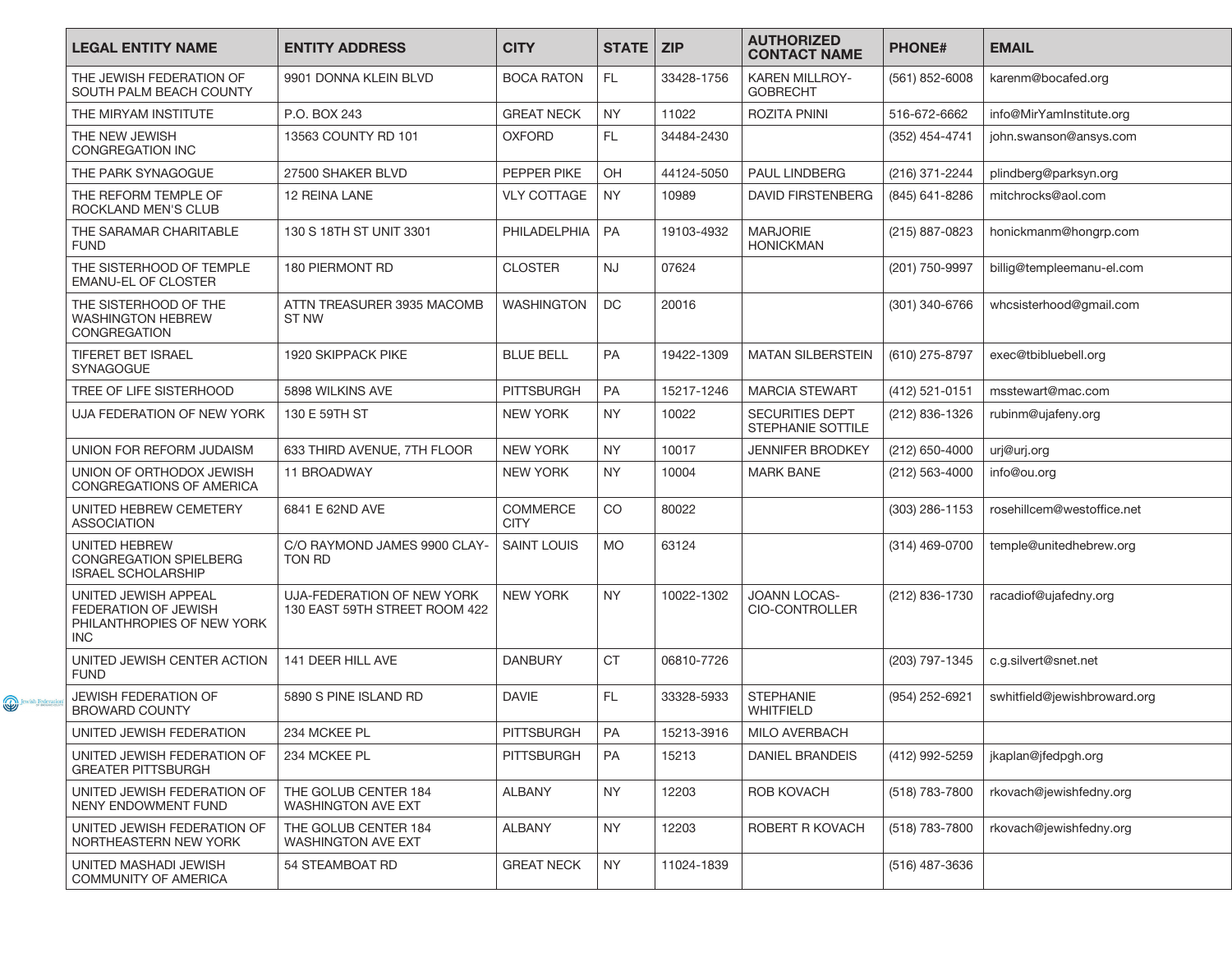|                | <b>LEGAL ENTITY NAME</b>                                                                 | <b>ENTITY ADDRESS</b>                                       | <b>CITY</b>                    | STATE   ZIP |            | <b>AUTHORIZED</b><br><b>CONTACT NAME</b>           | <b>PHONE#</b>    | <b>EMAIL</b>                 |
|----------------|------------------------------------------------------------------------------------------|-------------------------------------------------------------|--------------------------------|-------------|------------|----------------------------------------------------|------------------|------------------------------|
|                | THE JEWISH FEDERATION OF<br>SOUTH PALM BEACH COUNTY                                      | 9901 DONNA KLEIN BLVD                                       | <b>BOCA RATON</b>              | FL.         | 33428-1756 | <b>KAREN MILLROY-</b><br><b>GOBRECHT</b>           | (561) 852-6008   | karenm@bocafed.org           |
|                | THE MIRYAM INSTITUTE                                                                     | P.O. BOX 243                                                | <b>GREAT NECK</b>              | <b>NY</b>   | 11022      | <b>ROZITA PNINI</b>                                | 516-672-6662     | info@MirYamInstitute.org     |
|                | THE NEW JEWISH<br><b>CONGREGATION INC</b>                                                | 13563 COUNTY RD 101                                         | <b>OXFORD</b>                  | FL.         | 34484-2430 |                                                    | (352) 454-4741   | john.swanson@ansys.com       |
|                | THE PARK SYNAGOGUE                                                                       | 27500 SHAKER BLVD                                           | PEPPER PIKE                    | OH          | 44124-5050 | <b>PAUL LINDBERG</b>                               | (216) 371-2244   | plindberg@parksyn.org        |
|                | THE REFORM TEMPLE OF<br><b>ROCKLAND MEN'S CLUB</b>                                       | 12 REINA LANE                                               | <b>VLY COTTAGE</b>             | <b>NY</b>   | 10989      | <b>DAVID FIRSTENBERG</b>                           | (845) 641-8286   | mitchrocks@aol.com           |
|                | THE SARAMAR CHARITABLE<br><b>FUND</b>                                                    | 130 S 18TH ST UNIT 3301                                     | PHILADELPHIA                   | <b>PA</b>   | 19103-4932 | <b>MARJORIE</b><br><b>HONICKMAN</b>                | (215) 887-0823   | honickmanm@hongrp.com        |
|                | THE SISTERHOOD OF TEMPLE<br><b>EMANU-EL OF CLOSTER</b>                                   | 180 PIERMONT RD                                             | <b>CLOSTER</b>                 | <b>NJ</b>   | 07624      |                                                    | (201) 750-9997   | billig@templeemanu-el.com    |
|                | THE SISTERHOOD OF THE<br><b>WASHINGTON HEBREW</b><br>CONGREGATION                        | ATTN TREASURER 3935 MACOMB<br>ST NW                         | <b>WASHINGTON</b>              | DC          | 20016      |                                                    | (301) 340-6766   | whcsisterhood@gmail.com      |
|                | <b>TIFERET BET ISRAEL</b><br><b>SYNAGOGUE</b>                                            | 1920 SKIPPACK PIKE                                          | <b>BLUE BELL</b>               | PA          | 19422-1309 | <b>MATAN SILBERSTEIN</b>                           | (610) 275-8797   | exec@tbibluebell.org         |
|                | TREE OF LIFE SISTERHOOD                                                                  | 5898 WILKINS AVE                                            | <b>PITTSBURGH</b>              | PA          | 15217-1246 | <b>MARCIA STEWART</b>                              | (412) 521-0151   | msstewart@mac.com            |
|                | UJA FEDERATION OF NEW YORK                                                               | 130 E 59TH ST                                               | <b>NEW YORK</b>                | <b>NY</b>   | 10022      | <b>SECURITIES DEPT</b><br><b>STEPHANIE SOTTILE</b> | (212) 836-1326   | rubinm@ujafeny.org           |
|                | UNION FOR REFORM JUDAISM                                                                 | 633 THIRD AVENUE, 7TH FLOOR                                 | <b>NEW YORK</b>                | <b>NY</b>   | 10017      | <b>JENNIFER BRODKEY</b>                            | $(212)$ 650-4000 | urj@urj.org                  |
|                | UNION OF ORTHODOX JEWISH<br>CONGREGATIONS OF AMERICA                                     | 11 BROADWAY                                                 | <b>NEW YORK</b>                | <b>NY</b>   | 10004      | <b>MARK BANE</b>                                   | (212) 563-4000   | info@ou.org                  |
|                | UNITED HEBREW CEMETERY<br><b>ASSOCIATION</b>                                             | 6841 E 62ND AVE                                             | <b>COMMERCE</b><br><b>CITY</b> | CO          | 80022      |                                                    | (303) 286-1153   | rosehillcem@westoffice.net   |
|                | UNITED HEBREW<br>CONGREGATION SPIELBERG<br><b>ISRAEL SCHOLARSHIP</b>                     | C/O RAYMOND JAMES 9900 CLAY-<br>TON RD                      | <b>SAINT LOUIS</b>             | <b>MO</b>   | 63124      |                                                    | (314) 469-0700   | temple@unitedhebrew.org      |
|                | UNITED JEWISH APPEAL<br>FEDERATION OF JEWISH<br>PHILANTHROPIES OF NEW YORK<br><b>INC</b> | UJA-FEDERATION OF NEW YORK<br>130 EAST 59TH STREET ROOM 422 | <b>NEW YORK</b>                | NY.         | 10022-1302 | <b>JOANN LOCAS-</b><br>CIO-CONTROLLER              | (212) 836-1730   | racadiof@ujafedny.org        |
|                | UNITED JEWISH CENTER ACTION<br><b>FUND</b>                                               | 141 DEER HILL AVE                                           | <b>DANBURY</b>                 | <b>CT</b>   | 06810-7726 |                                                    | (203) 797-1345   | c.g.silvert@snet.net         |
| Jewish Federal | <b>JEWISH FEDERATION OF</b><br><b>BROWARD COUNTY</b>                                     | 5890 S PINE ISLAND RD                                       | <b>DAVIE</b>                   | FL.         | 33328-5933 | <b>STEPHANIE</b><br>WHITFIELD                      | (954) 252-6921   | swhitfield@jewishbroward.org |
|                | UNITED JEWISH FEDERATION                                                                 | 234 MCKEE PL                                                | <b>PITTSBURGH</b>              | PA          | 15213-3916 | <b>MILO AVERBACH</b>                               |                  |                              |
|                | UNITED JEWISH FEDERATION OF<br><b>GREATER PITTSBURGH</b>                                 | 234 MCKEE PL                                                | <b>PITTSBURGH</b>              | PA          | 15213      | <b>DANIEL BRANDEIS</b>                             | (412) 992-5259   | jkaplan@jfedpgh.org          |
|                | UNITED JEWISH FEDERATION OF<br>NENY ENDOWMENT FUND                                       | THE GOLUB CENTER 184<br>WASHINGTON AVE EXT                  | <b>ALBANY</b>                  | <b>NY</b>   | 12203      | ROB KOVACH                                         | (518) 783-7800   | rkovach@jewishfedny.org      |
|                | UNITED JEWISH FEDERATION OF<br>NORTHEASTERN NEW YORK                                     | THE GOLUB CENTER 184<br><b>WASHINGTON AVE EXT</b>           | <b>ALBANY</b>                  | NY          | 12203      | ROBERT R KOVACH                                    | (518) 783-7800   | rkovach@jewishfedny.org      |
|                | UNITED MASHADI JEWISH<br><b>COMMUNITY OF AMERICA</b>                                     | 54 STEAMBOAT RD                                             | <b>GREAT NECK</b>              | NY          | 11024-1839 |                                                    | (516) 487-3636   |                              |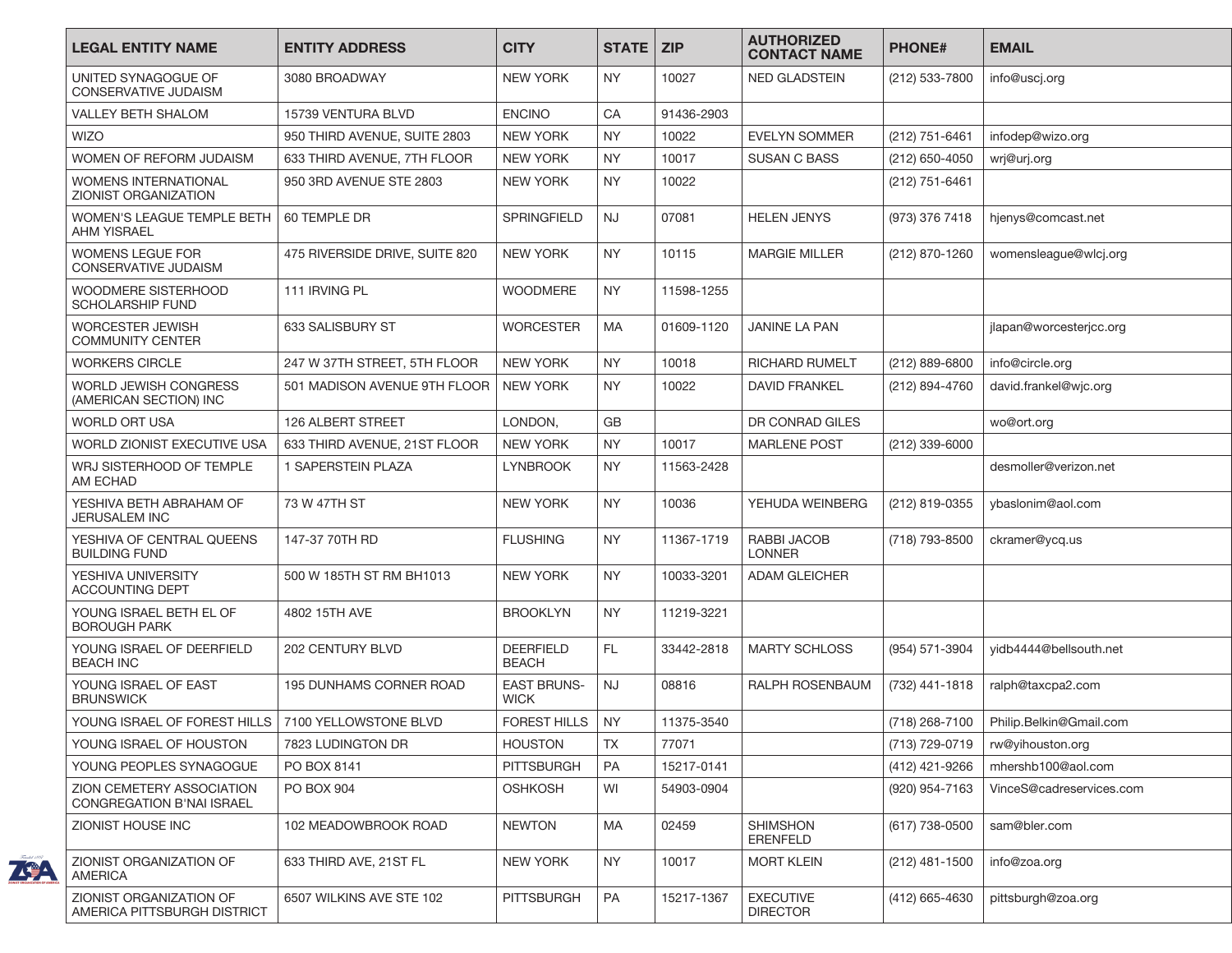| <b>LEGAL ENTITY NAME</b>                                | <b>ENTITY ADDRESS</b>          | <b>CITY</b>                      | <b>STATE</b> | <b>ZIP</b> | <b>AUTHORIZED</b><br><b>CONTACT NAME</b> | <b>PHONE#</b>    | <b>EMAIL</b>             |
|---------------------------------------------------------|--------------------------------|----------------------------------|--------------|------------|------------------------------------------|------------------|--------------------------|
| UNITED SYNAGOGUE OF<br><b>CONSERVATIVE JUDAISM</b>      | 3080 BROADWAY                  | <b>NEW YORK</b>                  | <b>NY</b>    | 10027      | <b>NED GLADSTEIN</b>                     | (212) 533-7800   | info@uscj.org            |
| <b>VALLEY BETH SHALOM</b>                               | 15739 VENTURA BLVD             | <b>ENCINO</b>                    | CA           | 91436-2903 |                                          |                  |                          |
| <b>WIZO</b>                                             | 950 THIRD AVENUE, SUITE 2803   | <b>NEW YORK</b>                  | <b>NY</b>    | 10022      | EVELYN SOMMER                            | $(212)$ 751-6461 | infodep@wizo.org         |
| WOMEN OF REFORM JUDAISM                                 | 633 THIRD AVENUE, 7TH FLOOR    | <b>NEW YORK</b>                  | <b>NY</b>    | 10017      | <b>SUSAN C BASS</b>                      | (212) 650-4050   | wrj@urj.org              |
| WOMENS INTERNATIONAL<br>ZIONIST ORGANIZATION            | 950 3RD AVENUE STE 2803        | <b>NEW YORK</b>                  | <b>NY</b>    | 10022      |                                          | (212) 751-6461   |                          |
| <b>WOMEN'S LEAGUE TEMPLE BETH</b><br><b>AHM YISRAEL</b> | 60 TEMPLE DR                   | SPRINGFIELD                      | <b>NJ</b>    | 07081      | <b>HELEN JENYS</b>                       | (973) 376 7418   | hjenys@comcast.net       |
| <b>WOMENS LEGUE FOR</b><br><b>CONSERVATIVE JUDAISM</b>  | 475 RIVERSIDE DRIVE, SUITE 820 | <b>NEW YORK</b>                  | <b>NY</b>    | 10115      | <b>MARGIE MILLER</b>                     | (212) 870-1260   | womensleague@wlcj.org    |
| WOODMERE SISTERHOOD<br><b>SCHOLARSHIP FUND</b>          | 111 IRVING PL                  | <b>WOODMERE</b>                  | <b>NY</b>    | 11598-1255 |                                          |                  |                          |
| <b>WORCESTER JEWISH</b><br><b>COMMUNITY CENTER</b>      | 633 SALISBURY ST               | <b>WORCESTER</b>                 | <b>MA</b>    | 01609-1120 | <b>JANINE LA PAN</b>                     |                  | jlapan@worcesterjcc.org  |
| <b>WORKERS CIRCLE</b>                                   | 247 W 37TH STREET, 5TH FLOOR   | <b>NEW YORK</b>                  | <b>NY</b>    | 10018      | <b>RICHARD RUMELT</b>                    | (212) 889-6800   | info@circle.org          |
| WORLD JEWISH CONGRESS<br>(AMERICAN SECTION) INC         | 501 MADISON AVENUE 9TH FLOOR   | <b>NEW YORK</b>                  | <b>NY</b>    | 10022      | <b>DAVID FRANKEL</b>                     | (212) 894-4760   | david.frankel@wjc.org    |
| <b>WORLD ORT USA</b>                                    | <b>126 ALBERT STREET</b>       | LONDON.                          | GB           |            | DR CONRAD GILES                          |                  | wo@ort.org               |
| WORLD ZIONIST EXECUTIVE USA                             | 633 THIRD AVENUE, 21ST FLOOR   | <b>NEW YORK</b>                  | <b>NY</b>    | 10017      | <b>MARLENE POST</b>                      | (212) 339-6000   |                          |
| WRJ SISTERHOOD OF TEMPLE<br>AM ECHAD                    | 1 SAPERSTEIN PLAZA             | <b>LYNBROOK</b>                  | <b>NY</b>    | 11563-2428 |                                          |                  | desmoller@verizon.net    |
| YESHIVA BETH ABRAHAM OF<br><b>JERUSALEM INC</b>         | 73 W 47TH ST                   | <b>NEW YORK</b>                  | NY.          | 10036      | YEHUDA WEINBERG                          | (212) 819-0355   | ybaslonim@aol.com        |
| YESHIVA OF CENTRAL QUEENS<br><b>BUILDING FUND</b>       | 147-37 70TH RD                 | <b>FLUSHING</b>                  | NY.          | 11367-1719 | RABBI JACOB<br><b>LONNER</b>             | (718) 793-8500   | ckramer@ycq.us           |
| YESHIVA UNIVERSITY<br><b>ACCOUNTING DEPT</b>            | 500 W 185TH ST RM BH1013       | <b>NEW YORK</b>                  | NY.          | 10033-3201 | <b>ADAM GLEICHER</b>                     |                  |                          |
| YOUNG ISRAEL BETH EL OF<br><b>BOROUGH PARK</b>          | 4802 15TH AVE                  | <b>BROOKLYN</b>                  | <b>NY</b>    | 11219-3221 |                                          |                  |                          |
| YOUNG ISRAEL OF DEERFIELD<br><b>BEACH INC</b>           | <b>202 CENTURY BLVD</b>        | <b>DEERFIELD</b><br><b>BEACH</b> | FL.          | 33442-2818 | <b>MARTY SCHLOSS</b>                     | (954) 571-3904   | vidb4444@bellsouth.net   |
| YOUNG ISRAEL OF EAST<br><b>BRUNSWICK</b>                | 195 DUNHAMS CORNER ROAD        | <b>EAST BRUNS-</b><br>WICK       | <b>NJ</b>    | 08816      | RALPH ROSENBAUM                          | (732) 441-1818   | ralph@taxcpa2.com        |
| YOUNG ISRAEL OF FOREST HILLS   7100 YELLOWSTONE BLVD    |                                | <b>FOREST HILLS</b>              | <b>NY</b>    | 11375-3540 |                                          | (718) 268-7100   | Philip.Belkin@Gmail.com  |
| YOUNG ISRAEL OF HOUSTON                                 | 7823 LUDINGTON DR              | <b>HOUSTON</b>                   | <b>TX</b>    | 77071      |                                          | (713) 729-0719   | rw@yihouston.org         |
| YOUNG PEOPLES SYNAGOGUE                                 | PO BOX 8141                    | <b>PITTSBURGH</b>                | PA           | 15217-0141 |                                          | (412) 421-9266   | mhershb100@aol.com       |
| ZION CEMETERY ASSOCIATION<br>CONGREGATION B'NAI ISRAEL  | PO BOX 904                     | <b>OSHKOSH</b>                   | WI           | 54903-0904 |                                          | (920) 954-7163   | VinceS@cadreservices.com |
| ZIONIST HOUSE INC                                       | 102 MEADOWBROOK ROAD           | <b>NEWTON</b>                    | MA           | 02459      | <b>SHIMSHON</b><br>ERENFELD              | (617) 738-0500   | sam@bler.com             |
| ZIONIST ORGANIZATION OF<br><b>AMERICA</b>               | 633 THIRD AVE, 21ST FL         | <b>NEW YORK</b>                  | NY.          | 10017      | <b>MORT KLEIN</b>                        | (212) 481-1500   | info@zoa.org             |
| ZIONIST ORGANIZATION OF<br>AMERICA PITTSBURGH DISTRICT  | 6507 WILKINS AVE STE 102       | <b>PITTSBURGH</b>                | PA           | 15217-1367 | <b>EXECUTIVE</b><br><b>DIRECTOR</b>      | (412) 665-4630   | pittsburgh@zoa.org       |

ZGA